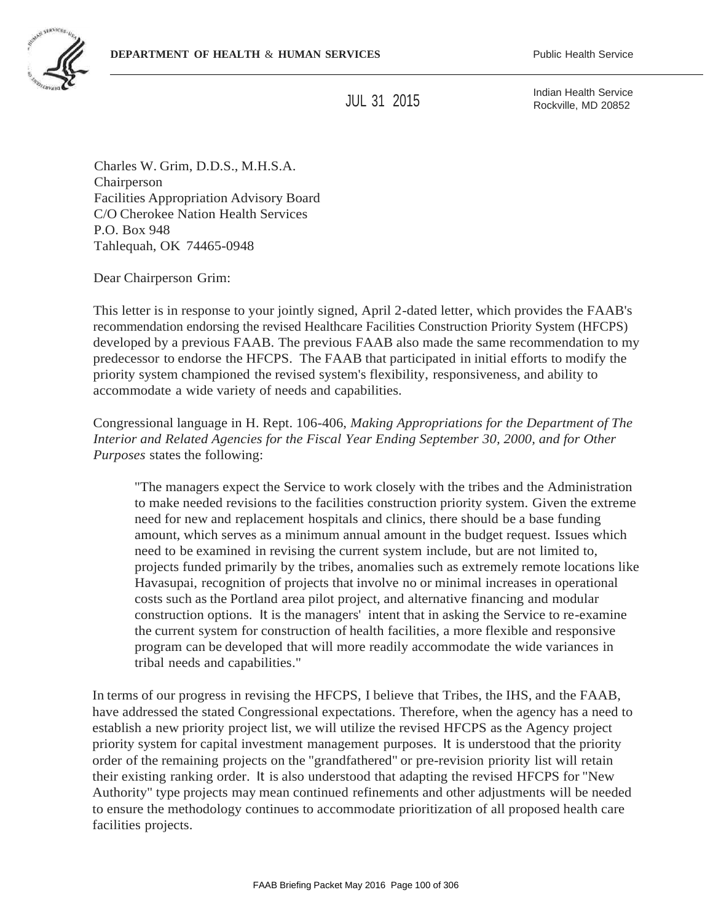

JUL 31 2015

Indian Health Service Rockville, MD 20852

Charles W. Grim, D.D.S., M.H.S.A. Chairperson Facilities Appropriation Advisory Board C/O Cherokee Nation Health Services P.O. Box 948 Tahlequah, OK 74465-0948

Dear Chairperson Grim:

This letter is in response to your jointly signed, April 2-dated letter, which provides the FAAB's recommendation endorsing the revised Healthcare Facilities Construction Priority System (HFCPS) developed by a previous FAAB. The previous FAAB also made the same recommendation to my predecessor to endorse the HFCPS. The FAAB that participated in initial efforts to modify the priority system championed the revised system's flexibility, responsiveness, and ability to accommodate a wide variety of needs and capabilities.

Congressional language in H. Rept. 106-406, *Making Appropriations for the Department of The Interior and Related Agencies for the Fiscal Year Ending September 30, 2000, and for Other Purposes* states the following:

"The managers expect the Service to work closely with the tribes and the Administration to make needed revisions to the facilities construction priority system. Given the extreme need for new and replacement hospitals and clinics, there should be a base funding amount, which serves as a minimum annual amount in the budget request. Issues which need to be examined in revising the current system include, but are not limited to, projects funded primarily by the tribes, anomalies such as extremely remote locations like Havasupai, recognition of projects that involve no or minimal increases in operational costs such as the Portland area pilot project, and alternative financing and modular construction options. It is the managers' intent that in asking the Service to re-examine the current system for construction of health facilities, a more flexible and responsive program can be developed that will more readily accommodate the wide variances in tribal needs and capabilities."

In terms of our progress in revising the HFCPS, I believe that Tribes, the IHS, and the FAAB, have addressed the stated Congressional expectations. Therefore, when the agency has a need to establish a new priority project list, we will utilize the revised HFCPS as the Agency project priority system for capital investment management purposes. It is understood that the priority order of the remaining projects on the "grandfathered" or pre-revision priority list will retain their existing ranking order. It is also understood that adapting the revised HFCPS for "New Authority" type projects may mean continued refinements and other adjustments will be needed to ensure the methodology continues to accommodate prioritization of all proposed health care facilities projects.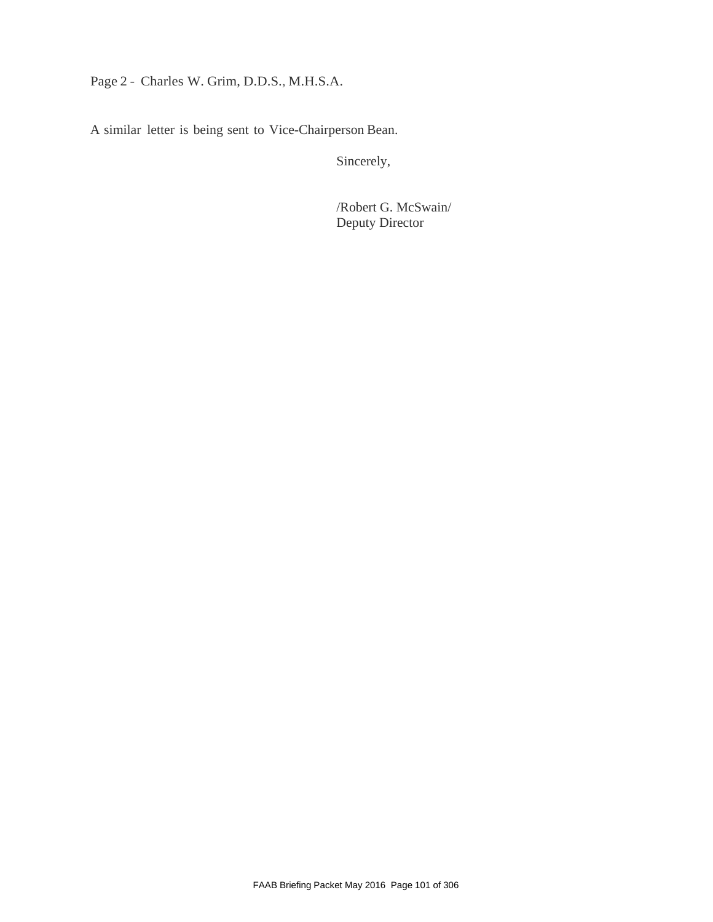# Page 2 - Charles W. Grim, D.D.S., M.H.S.A.

A similar letter is being sent to Vice-Chairperson Bean.

Sincerely,

/Robert G. McSwain/ Deputy Director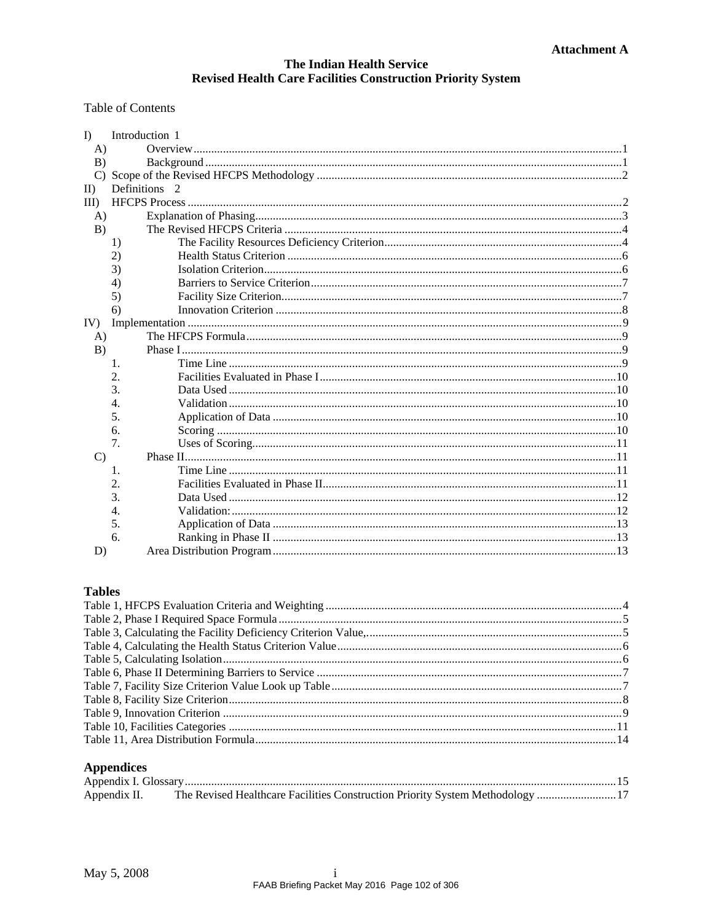#### **Table of Contents**

| $\Gamma$      | Introduction 1 |  |
|---------------|----------------|--|
| $\bf{A}$      |                |  |
| B)            |                |  |
| $\mathbf{C}$  |                |  |
| $\mathbf{I}$  | Definitions 2  |  |
| $III$ )       |                |  |
| $\bf{A}$      |                |  |
| B)            |                |  |
|               | 1)             |  |
|               | 2)             |  |
|               | 3)             |  |
|               | 4)             |  |
|               | 5)             |  |
|               | 6)             |  |
| IV)           |                |  |
| A)            |                |  |
| B)            |                |  |
|               | 1.             |  |
|               | 2.             |  |
|               | 3.             |  |
|               | 4.             |  |
|               | 5.             |  |
|               | 6.             |  |
|               | 7.             |  |
| $\mathcal{C}$ |                |  |
|               | 1.             |  |
|               | 2.             |  |
|               | 3.             |  |
|               | 4.             |  |
|               | 5.             |  |
|               | 6.             |  |
| D)            |                |  |

### **Tables**

### **Appendices**

| Appendix II. The Revised Healthcare Facilities Construction Priority System Methodology  17 |  |
|---------------------------------------------------------------------------------------------|--|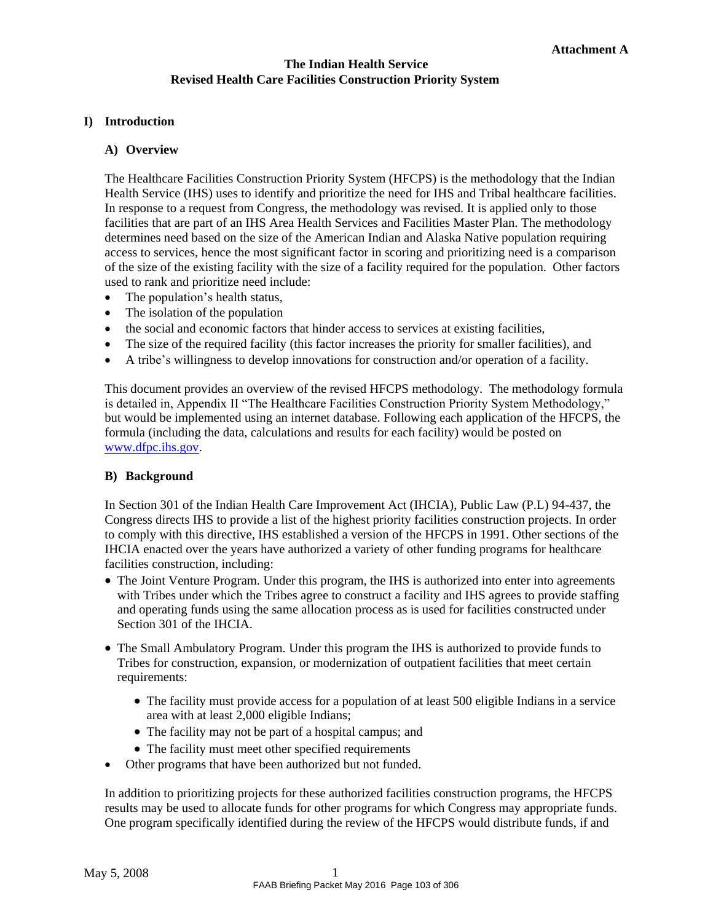### <span id="page-3-1"></span><span id="page-3-0"></span>**I) Introduction**

#### **A) Overview**

The Healthcare Facilities Construction Priority System (HFCPS) is the methodology that the Indian Health Service (IHS) uses to identify and prioritize the need for IHS and Tribal healthcare facilities. In response to a request from Congress, the methodology was revised. It is applied only to those facilities that are part of an IHS Area Health Services and Facilities Master Plan. The methodology determines need based on the size of the American Indian and Alaska Native population requiring access to services, hence the most significant factor in scoring and prioritizing need is a comparison of the size of the existing facility with the size of a facility required for the population. Other factors used to rank and prioritize need include:

- The population's health status,
- The isolation of the population
- the social and economic factors that hinder access to services at existing facilities,
- The size of the required facility (this factor increases the priority for smaller facilities), and
- A tribe's willingness to develop innovations for construction and/or operation of a facility.

This document provides an overview of the revised HFCPS methodology. The methodology formula is detailed in, Appendix II "The Healthcare Facilities Construction Priority System Methodology," but would be implemented using an internet database. Following each application of the HFCPS, the formula (including the data, calculations and results for each facility) would be posted on [www.dfpc.ihs.gov.](http://www.dfpc.ihs.gov/)

### <span id="page-3-2"></span>**B) Background**

In Section 301 of the Indian Health Care Improvement Act (IHCIA), Public Law (P.L) 94-437, the Congress directs IHS to provide a list of the highest priority facilities construction projects. In order to comply with this directive, IHS established a version of the HFCPS in 1991. Other sections of the IHCIA enacted over the years have authorized a variety of other funding programs for healthcare facilities construction, including:

- The Joint Venture Program. Under this program, the IHS is authorized into enter into agreements with Tribes under which the Tribes agree to construct a facility and IHS agrees to provide staffing and operating funds using the same allocation process as is used for facilities constructed under Section 301 of the IHCIA.
- The Small Ambulatory Program. Under this program the IHS is authorized to provide funds to Tribes for construction, expansion, or modernization of outpatient facilities that meet certain requirements:
	- The facility must provide access for a population of at least 500 eligible Indians in a service area with at least 2,000 eligible Indians;
	- The facility may not be part of a hospital campus; and
	- The facility must meet other specified requirements
- Other programs that have been authorized but not funded.

In addition to prioritizing projects for these authorized facilities construction programs, the HFCPS results may be used to allocate funds for other programs for which Congress may appropriate funds. One program specifically identified during the review of the HFCPS would distribute funds, if and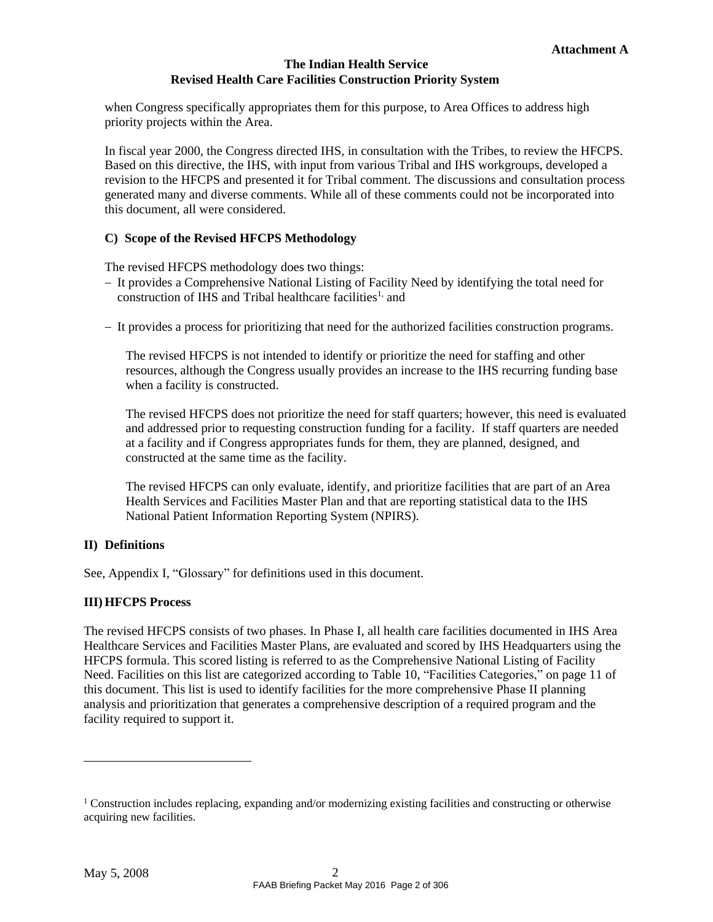when Congress specifically appropriates them for this purpose, to Area Offices to address high priority projects within the Area.

In fiscal year 2000, the Congress directed IHS, in consultation with the Tribes, to review the HFCPS. Based on this directive, the IHS, with input from various Tribal and IHS workgroups, developed a revision to the HFCPS and presented it for Tribal comment. The discussions and consultation process generated many and diverse comments. While all of these comments could not be incorporated into this document, all were considered.

### **C) Scope of the Revised HFCPS Methodology**

<span id="page-4-0"></span>The revised HFCPS methodology does two things:

- It provides a Comprehensive National Listing of Facility Need by identifying the total need for construction of IHS and Tribal healthcare facilities<sup>[1,](#page-4-3)</sup> and
- It provides a process for prioritizing that need for the authorized facilities construction programs.

The revised HFCPS is not intended to identify or prioritize the need for staffing and other resources, although the Congress usually provides an increase to the IHS recurring funding base when a facility is constructed.

The revised HFCPS does not prioritize the need for staff quarters; however, this need is evaluated and addressed prior to requesting construction funding for a facility. If staff quarters are needed at a facility and if Congress appropriates funds for them, they are planned, designed, and constructed at the same time as the facility.

The revised HFCPS can only evaluate, identify, and prioritize facilities that are part of an Area Health Services and Facilities Master Plan and that are reporting statistical data to the IHS National Patient Information Reporting System (NPIRS).

## <span id="page-4-1"></span>**II) Definitions**

See, [Appendix](#page-17-0) I, ["Glossary"](#page-17-0) for definitions used in this document.

### <span id="page-4-2"></span>**III) HFCPS Process**

The revised HFCPS consists of two phases. In Phase I, all health care facilities documented in IHS Area Healthcare Services and Facilities Master Plans, are evaluated and scored by IHS Headquarters using the HFCPS formula. This scored listing is referred to as the Comprehensive National Listing of Facility Need. Facilities on this list are categorized according to [Table 10, "Facilities Categories," o](#page-13-4)n page [11 o](#page-13-4)f this document. This list is used to identify facilities for the more comprehensive Phase II planning analysis and prioritization that generates a comprehensive description of a required program and the facility required to support it.

<span id="page-4-3"></span><sup>&</sup>lt;sup>1</sup> Construction includes replacing, expanding and/or modernizing existing facilities and constructing or otherwise acquiring new facilities.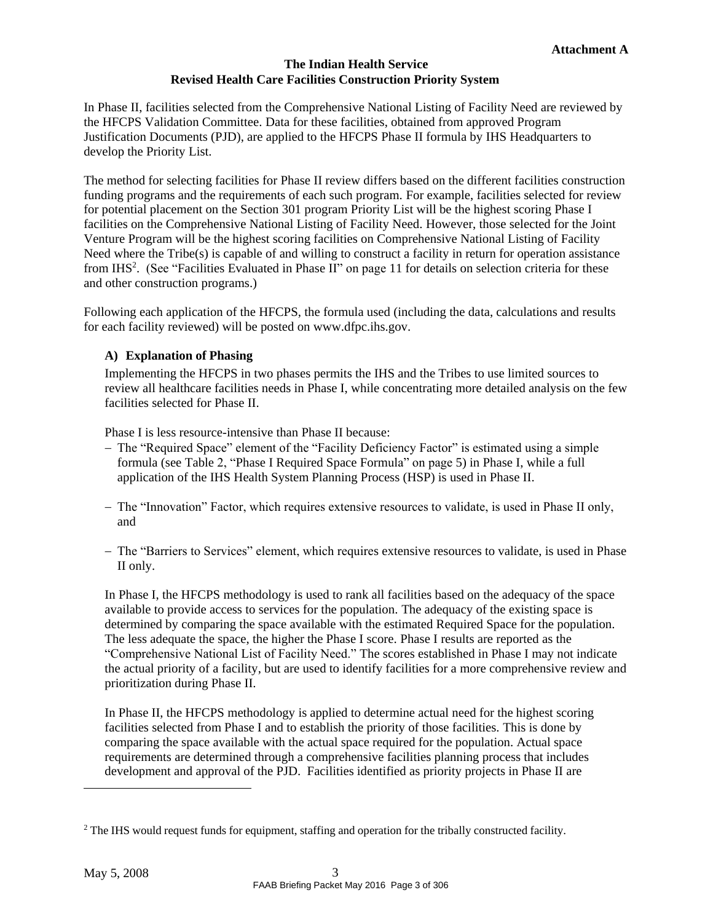In Phase II, facilities selected from the Comprehensive National Listing of Facility Need are reviewed by the HFCPS Validation Committee. Data for these facilities, obtained from approved Program Justification Documents (PJD), are applied to the HFCPS Phase II formula by IHS Headquarters to develop the Priority List.

The method for selecting facilities for Phase II review differs based on the different facilities construction funding programs and the requirements of each such program. For example, facilities selected for review for potential placement on the Section 301 program Priority List will be the highest scoring Phase I facilities on the Comprehensive National Listing of Facility Need. However, those selected for the Joint Venture Program will be the highest scoring facilities on Comprehensive National Listing of Facility Need where the Tribe(s) is capable of and willing to construct a facility in return for operation assistance from IHS<sup>2</sup>[.](#page-5-1) (See ["Facilities Evaluated in Phase I](#page-13-3)I" on page [11 f](#page-13-3)or details on selection criteria for these and other construction programs.)

<span id="page-5-0"></span>Following each application of the HFCPS, the formula used (including the data, calculations and results for each facility reviewed) will be posted on [www.dfpc.ihs.gov.](http://www.dfpc.ihs.gov/)

# **A) Explanation of Phasing**

Implementing the HFCPS in two phases permits the IHS and the Tribes to use limited sources to review all healthcare facilities needs in Phase I, while concentrating more detailed analysis on the few facilities selected for Phase II.

Phase I is less resource-intensive than Phase II because:

- The "Required Space" element of the "Facility Deficiency Factor" is estimated using a simple formula (see [Table 2](#page-7-0), ["Phase I Required Space Formu](#page-7-0)la" on page [5\) i](#page-7-0)n Phase I, while a full application of the IHS Health System Planning Process (HSP) is used in Phase II.
- The "Innovation" Factor, which requires extensive resources to validate, is used in Phase II only, and
- The "Barriers to Services" element, which requires extensive resources to validate, is used in Phase II only.

In Phase I, the HFCPS methodology is used to rank all facilities based on the adequacy of the space available to provide access to services for the population. The adequacy of the existing space is determined by comparing the space available with the estimated Required Space for the population. The less adequate the space, the higher the Phase I score. Phase I results are reported as the "Comprehensive National List of Facility Need." The scores established in Phase I may not indicate the actual priority of a facility, but are used to identify facilities for a more comprehensive review and prioritization during Phase II.

In Phase II, the HFCPS methodology is applied to determine actual need for the highest scoring facilities selected from Phase I and to establish the priority of those facilities. This is done by comparing the space available with the actual space required for the population. Actual space requirements are determined through a comprehensive facilities planning process that includes development and approval of the PJD. Facilities identified as priority projects in Phase II are

<span id="page-5-1"></span><sup>&</sup>lt;sup>2</sup> The IHS would request funds for equipment, staffing and operation for the tribally constructed facility.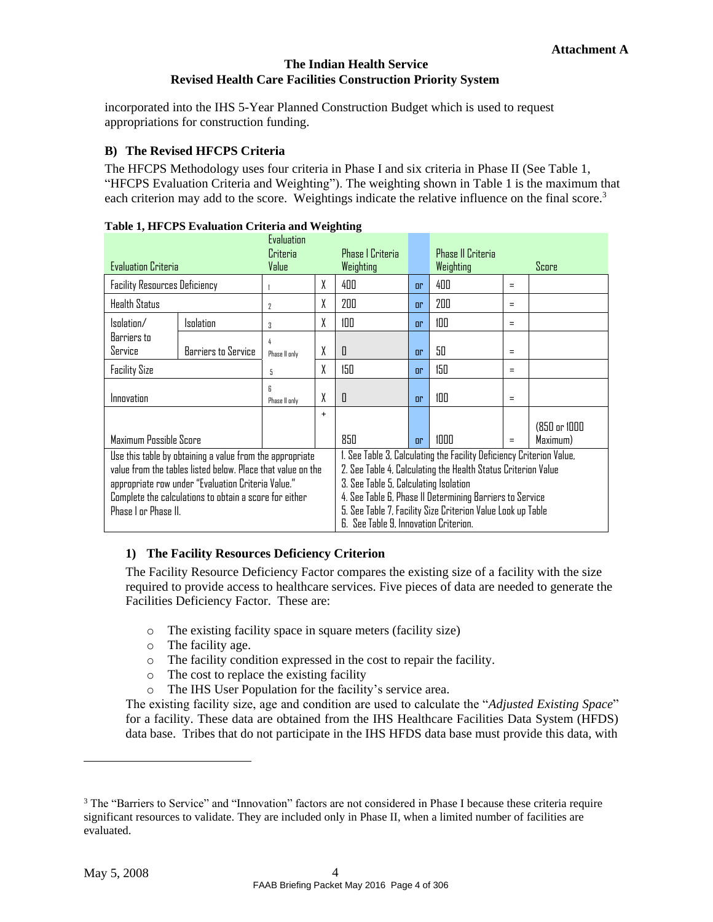incorporated into the IHS 5-Year Planned Construction Budget which is used to request appropriations for construction funding.

### <span id="page-6-0"></span>**B) The Revised HFCPS Criteria**

The HFCPS Methodology uses four criteria in Phase I and six criteria in Phase II (See [Table 1](#page-6-2), ["HFCPS Evaluation Criteria and Weight](#page-6-2)ing"). The weighting shown in [Table 1 i](#page-6-2)s the maximum that each criterion may add to the score[.](#page-6-3) Weightings indicate the relative influence on the final score.<sup>3</sup>

<span id="page-6-2"></span>

| <b>Evaluation Criteria</b>                                                                                                                                                                                                                                                                                                                                                                                                                                                                                                                                                                                            |                     | Evaluation<br>Criteria<br>Value |     | <b>Phase   Criteria</b><br>Weighting |                | <b>Phase II Criteria</b><br>Weighting |                          | Score |
|-----------------------------------------------------------------------------------------------------------------------------------------------------------------------------------------------------------------------------------------------------------------------------------------------------------------------------------------------------------------------------------------------------------------------------------------------------------------------------------------------------------------------------------------------------------------------------------------------------------------------|---------------------|---------------------------------|-----|--------------------------------------|----------------|---------------------------------------|--------------------------|-------|
| <b>Facility Resources Deficiency</b>                                                                                                                                                                                                                                                                                                                                                                                                                                                                                                                                                                                  |                     |                                 | X   | 400                                  | or             | 400                                   | $=$                      |       |
| <b>Health Status</b>                                                                                                                                                                                                                                                                                                                                                                                                                                                                                                                                                                                                  |                     | $\overline{2}$                  | X   | 200                                  | n <sub>r</sub> | 200                                   | $=$                      |       |
| Isolation/                                                                                                                                                                                                                                                                                                                                                                                                                                                                                                                                                                                                            | Isolation           | 3                               | X   | 100                                  | n <sub>r</sub> | 100                                   | $\equiv$                 |       |
| Barriers to<br>Service                                                                                                                                                                                                                                                                                                                                                                                                                                                                                                                                                                                                | Barriers to Service | 4<br>Phase II only              | X   | 0                                    | n <sub>r</sub> | 50                                    | $=$                      |       |
| <b>Facility Size</b>                                                                                                                                                                                                                                                                                                                                                                                                                                                                                                                                                                                                  | 5                   | χ                               | 150 | n <sub>r</sub>                       | 150            | $=$                                   |                          |       |
| Innovation                                                                                                                                                                                                                                                                                                                                                                                                                                                                                                                                                                                                            | R<br>Phase II only  | χ                               | 0   | or                                   | 100            | $=$                                   |                          |       |
| Maximum Possible Score                                                                                                                                                                                                                                                                                                                                                                                                                                                                                                                                                                                                |                     | $\ddot{}$                       | 850 | n <sub>r</sub>                       | 1000           | $\equiv$                              | (850 or 1000<br>Maximum) |       |
| 1. See Table 3, Calculating the Facility Deficiency Criterion Value,<br>Use this table by obtaining a value from the appropriate<br>2. See Table 4, Calculating the Health Status Criterion Value<br>value from the tables listed below. Place that value on the<br>3. See Table 5, Calculating Isolation<br>appropriate row under "Evaluation Criteria Value."<br>4. See Table 6, Phase II Determining Barriers to Service<br>Complete the calculations to obtain a score for either<br>5. See Table 7, Facility Size Criterion Value Look up Table<br>Phase I or Phase II.<br>6. See Table 9, Innovation Criterion. |                     |                                 |     |                                      |                |                                       |                          |       |

### **Table 1, HFCPS Evaluation Criteria and Weighting**

## <span id="page-6-1"></span>**1) The Facility Resources Deficiency Criterion**

The Facility Resource Deficiency Factor compares the existing size of a facility with the size required to provide access to healthcare services. Five pieces of data are needed to generate the Facilities Deficiency Factor. These are:

- o The existing facility space in square meters (facility size)
- o The facility age.
- o The facility condition expressed in the cost to repair the facility.
- o The cost to replace the existing facility
- o The IHS User Population for the facility's service area.

The existing facility size, age and condition are used to calculate the "*Adjusted Existing Space*" for a facility. These data are obtained from the IHS Healthcare Facilities Data System (HFDS) data base. Tribes that do not participate in the IHS HFDS data base must provide this data, with

<span id="page-6-3"></span><sup>&</sup>lt;sup>3</sup> The "Barriers to Service" and "Innovation" factors are not considered in Phase I because these criteria require significant resources to validate. They are included only in Phase II, when a limited number of facilities are evaluated.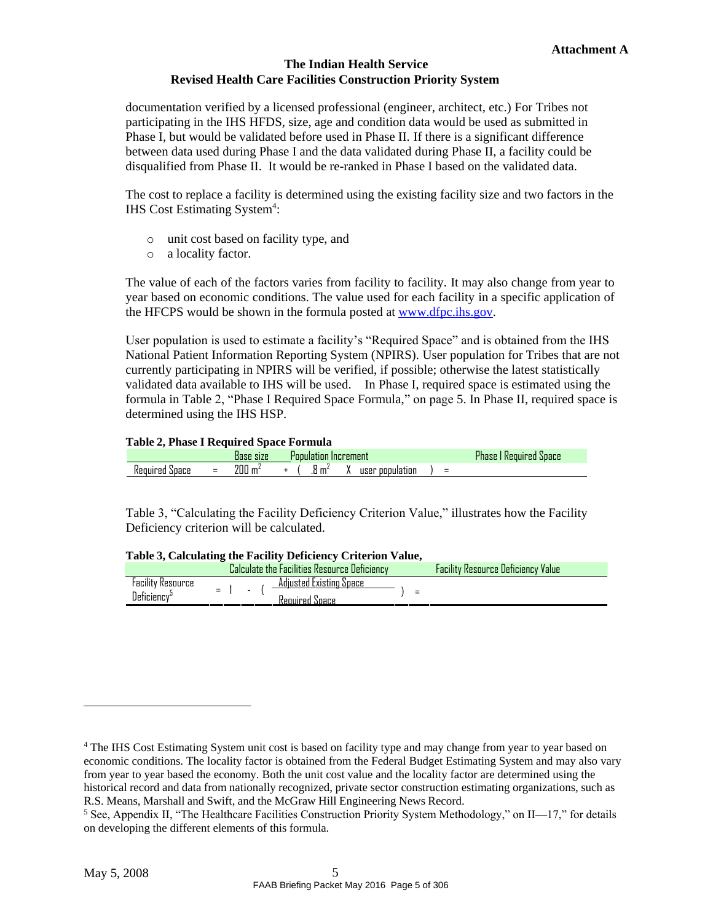documentation verified by a licensed professional (engineer, architect, etc.) For Tribes not participating in the IHS HFDS, size, age and condition data would be used as submitted in Phase I, but would be validated before used in Phase II. If there is a significant difference between data used during Phase I and the data validated during Phase II, a facility could be disqualified from Phase II. It would be re-ranked in Phase I based on the validated data.

The cost to replace a facility is determined using the existing facility size and two factors in the IHS Cost Estimating System<sup>4</sup>[:](#page-7-2)

- o unit cost based on facility type, and
- o a locality factor.

The value of each of the factors varies from facility to facility. It may also change from year to year based on economic conditions. The value used for each facility in a specific application of the HFCPS would be shown in the formula posted at [www.dfpc.ihs.gov.](http://www.dfpc.ihs.gov/)

User population is used to estimate a facility's "Required Space" and is obtained from the IHS National Patient Information Reporting System (NPIRS). User population for Tribes that are not currently participating in NPIRS will be verified, if possible; otherwise the latest statistically validated data available to IHS will be used. In Phase I, required space is estimated using the formula in [Table 2](#page-7-0), ["Phase I Required Space Formula,"](#page-7-0) on page [5.](#page-7-0) In Phase II, required space is determined using the IHS HSP.

#### **Table 2, Phase I Required Space Formula**

<span id="page-7-0"></span>

|               | _        | .<br>iase sıze<br>uast | Increment<br>1008100 |                   |  |                 |  |          | <b>POBLE</b><br><b>Codured Dumble</b><br><b>ITEQUIF</b><br>Ήc |
|---------------|----------|------------------------|----------------------|-------------------|--|-----------------|--|----------|---------------------------------------------------------------|
| inace<br>ه ۱۲ | $\equiv$ | 200<br>$\mathbf{m}$    |                      | .8 m <sup>2</sup> |  | user population |  | $\equiv$ |                                                               |

[Table 3](#page-7-1), ["Calculating the Facility Deficiency Criterion Value," i](#page-7-1)llustrates how the Facility Deficiency criterion will be calculated.

<span id="page-7-1"></span>

|                                                            | Table 5, Calculating the Facility Deficiency Criterion Value, |                                           |
|------------------------------------------------------------|---------------------------------------------------------------|-------------------------------------------|
|                                                            | Calculate the Facilities Resource Deficiency                  | <b>Facility Resource Deficiency Value</b> |
| <b>Facility Resource</b><br>$=$<br>Deficiency <sup>5</sup> | Adjusted Existing Space<br>$\sim$                             |                                           |
|                                                            | Required Space                                                |                                           |

# **Table 3, Calculating the Facility Deficiency Criterion Value,**

<span id="page-7-2"></span><sup>4</sup> The IHS Cost Estimating System unit cost is based on facility type and may change from year to year based on economic conditions. The locality factor is obtained from the Federal Budget Estimating System and may also vary from year to year based the economy. Both the unit cost value and the locality factor are determined using the historical record and data from nationally recognized, private sector construction estimating organizations, such as R.S. Means, Marshall and Swift, and the McGraw Hill Engineering News Record.

<span id="page-7-3"></span><sup>&</sup>lt;sup>5</sup> See, Appendix II, "The Healthcare Facilities Construction Priority System Methodology," on II—17," for details on developing the different elements of this formula.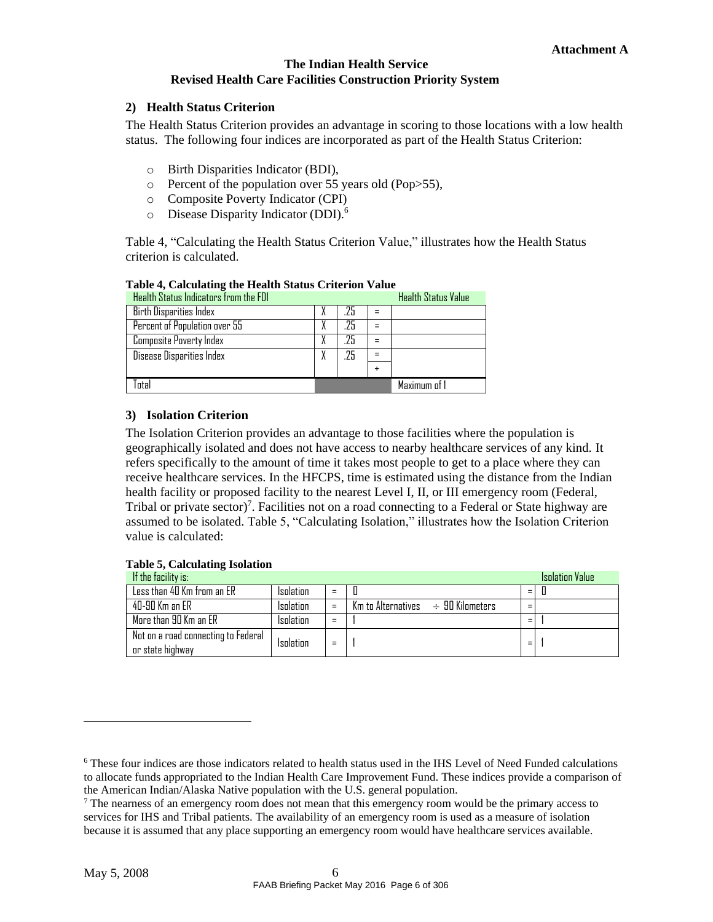#### <span id="page-8-0"></span>**2) Health Status Criterion**

The Health Status Criterion provides an advantage in scoring to those locations with a low health status. The following four indices are incorporated as part of the Health Status Criterion:

- o Birth Disparities Indicator (BDI),
- o Percent of the population over 55 years old (Pop>55),
- o Composite Poverty Indicator (CPI)
- o Disease Disparity Indicator (DDI).[6](#page-8-4)

[Table](#page-8-2) 4, ["Calculating](#page-8-2) the Health Status Criterion Value," illustrates how the Health Status criterion is calculated.

<span id="page-8-2"></span>

| Health Status Indicators from the FDI |     |   | <b>Health Status Value</b> |
|---------------------------------------|-----|---|----------------------------|
| <b>Birth Disparities Index</b>        | .25 | = |                            |
| Percent of Population over 55         | .25 |   |                            |
| <b>Composite Poverty Index</b>        | .25 |   |                            |
| Disease Disparities Index             | .25 |   |                            |
|                                       |     |   |                            |
| Tntal                                 |     |   | Maximum of 1               |

#### **Table 4, Calculating the Health Status Criterion Value**

### <span id="page-8-1"></span>**3) Isolation Criterion**

The Isolation Criterion provides an advantage to those facilities where the population is geographically isolated and does not have access to nearby healthcare services of any kind. It refers specifically to the amount of time it takes most people to get to a place where they can receive healthcare services. In the HFCPS, time is estimated using the distance from the Indian health facility or proposed facility to the nearest Level I, II, or III emergency room (Federal, Tribal or private sector[\)](#page-8-5)<sup>7</sup>. Facilities not on a road connecting to a Federal or State highway are assumed to be isolated. [Table 5](#page-8-3), ["Calculating Isolatio](#page-8-3)n," illustrates how the Isolation Criterion value is calculated:

#### **Table 5, Calculating Isolation**

<span id="page-8-3"></span>

| If the facility is:                                     |           |     |                                                                      |     | <b>Isolation Value</b> |
|---------------------------------------------------------|-----------|-----|----------------------------------------------------------------------|-----|------------------------|
| Less than 40 Km from an ER                              | Isolation | $=$ |                                                                      | $=$ |                        |
| 40-90 Km an FR                                          | Isolation | $=$ | $Km$ to Alternatives $\;\;\div\;\;\mathcal{G} \mathsf{I}$ Kilometers |     |                        |
| More than 90 Km an ER                                   | Isolation | Ξ   |                                                                      | =   |                        |
| Not on a road connecting to Federal<br>or state highway | Isolation | $=$ |                                                                      | =   |                        |

<span id="page-8-4"></span><sup>6</sup> These four indices are those indicators related to health status used in the IHS Level of Need Funded calculations to allocate funds appropriated to the Indian Health Care Improvement Fund. These indices provide a comparison of the American Indian/Alaska Native population with the U.S. general population.

<span id="page-8-5"></span> $<sup>7</sup>$  The nearness of an emergency room does not mean that this emergency room would be the primary access to</sup> services for IHS and Tribal patients. The availability of an emergency room is used as a measure of isolation because it is assumed that any place supporting an emergency room would have healthcare services available.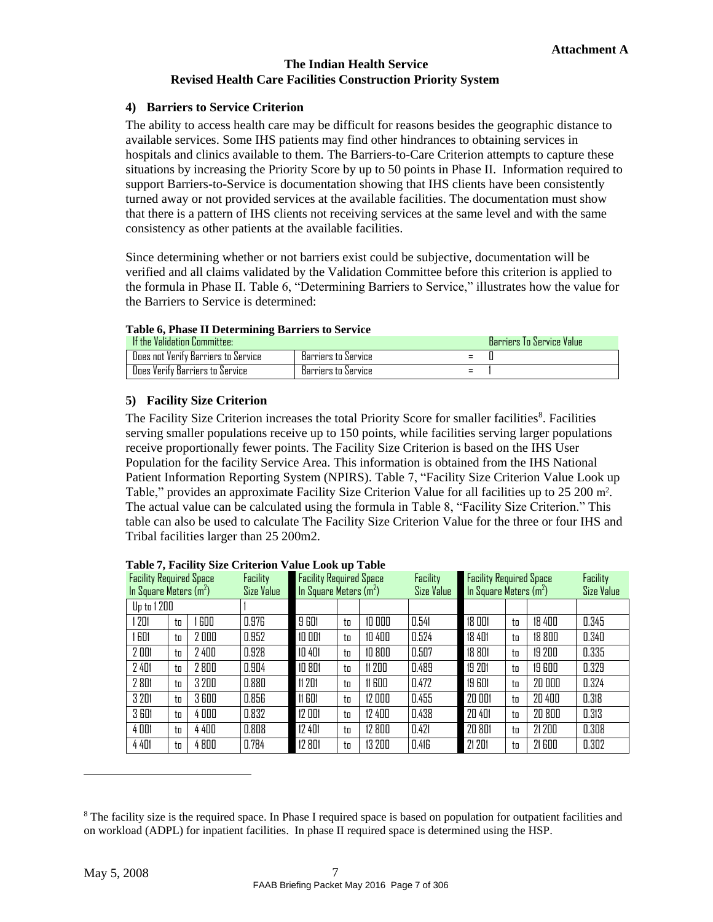#### <span id="page-9-0"></span>**4) Barriers to Service Criterion**

The ability to access health care may be difficult for reasons besides the geographic distance to available services. Some IHS patients may find other hindrances to obtaining services in hospitals and clinics available to them. The Barriers-to-Care Criterion attempts to capture these situations by increasing the Priority Score by up to 50 points in Phase II. Information required to support Barriers-to-Service is documentation showing that IHS clients have been consistently turned away or not provided services at the available facilities. The documentation must show that there is a pattern of IHS clients not receiving services at the same level and with the same consistency as other patients at the available facilities.

Since determining whether or not barriers exist could be subjective, documentation will be verified and all claims validated by the Validation Committee before this criterion is applied to the formula in Phase II. [Table 6](#page-9-2), ["Determining Barriers to Service," i](#page-9-2)llustrates how the value for the Barriers to Service is determined:

#### **Table 6, Phase II Determining Barriers to Service**

<span id="page-9-2"></span>

| If the Validation Committee:        |                     |     | Barriers To Service Value |
|-------------------------------------|---------------------|-----|---------------------------|
| Does not Verify Barriers to Service | Barriers to Service | =   |                           |
| Does Verify Barriers to Service     | Barriers to Service | $=$ |                           |

### <span id="page-9-1"></span>**5) Facility Size Criterion**

The Facility Size Criterion increa[s](#page-9-4)es the total Priority Score for smaller facilities<sup>8</sup>. Facilities serving smaller populations receive up to 150 points, while facilities serving larger populations receive proportionally fewer points. The Facility Size Criterion is based on the IHS User Population for the facility Service Area. This information is obtained from the IHS National Patient Information Reporting System (NPIRS). [Table 7](#page-9-3), ["Facility Size Criterion Value Look up](#page-9-3) [Table," p](#page-9-3)rovides an approximate Facility Size Criterion Value for all facilities up to 25 200 m<sup>2</sup>. The actual value can be calculated using the formula in [Table 8](#page-10-1), ["Facility Size Criterion." T](#page-10-1)his table can also be used to calculate The Facility Size Criterion Value for the three or four IHS and Tribal facilities larger than 25 200m2.

<span id="page-9-3"></span>

| <b>Facility Required Space</b><br>In Square Meters (m <sup>2</sup> ) |    |       | Facility<br>Size Value | Facility<br><b>Facility Required Space</b><br>In Square Meters $(m2)$<br>Size Value |    |        |       | <b>Facility Required Space</b><br>In Square Meters $(m2)$ | Facility<br><b>Size Value</b> |        |       |
|----------------------------------------------------------------------|----|-------|------------------------|-------------------------------------------------------------------------------------|----|--------|-------|-----------------------------------------------------------|-------------------------------|--------|-------|
| <b>Up to 1 200</b>                                                   |    |       |                        |                                                                                     |    |        |       |                                                           |                               |        |       |
| 201                                                                  | to | 600   | 0.976                  | 9 601                                                                               | to | 10000  | 0.541 | 18 001                                                    | to                            | 18 400 | 0.345 |
| 601                                                                  | to | 2000  | 0.952                  | 10 001                                                                              | to | 10 400 | 0.524 | 18 401                                                    | to                            | 18 800 | 0.340 |
| 2 001                                                                | to | 2 400 | 0.928                  | 10 401                                                                              | to | 10 800 | 0.507 | 18 801                                                    | to                            | 19 200 | 0.335 |
| 2 4 0 1                                                              | to | 2800  | 0.904                  | 10 801                                                                              | to | 11 200 | 0.489 | 19 201                                                    | to                            | 19 600 | 0.329 |
| 2 801                                                                | to | 3 200 | 0.880                  | <b>11 201</b>                                                                       | to | 11600  | 0.472 | 19 601                                                    | to                            | 20 000 | 0.324 |
| 3 201                                                                | to | 3600  | 0.856                  | <b>11 GD1</b>                                                                       | to | 12 000 | 0.455 | 20 001                                                    | to                            | 20 400 | 0.318 |
| <b>3 601</b>                                                         | to | 4000  | 0.832                  | 12 001                                                                              | to | 12 400 | 0.438 | 20 401                                                    | to                            | 20 800 | 0.313 |
| 4 0 0 1                                                              | to | 4400  | 0.808                  | 12 401                                                                              | to | 12 800 | 0.421 | 20 801                                                    | to                            | 21 200 | 0.308 |
| 4 4 D I                                                              | to | 4800  | 0.784                  | 12 801                                                                              | to | 13 200 | 0.416 | 21 201                                                    | to                            | 21 600 | 0.302 |

| Table 7, Facility Size Criterion Value Look up Table |  |  |  |
|------------------------------------------------------|--|--|--|
|                                                      |  |  |  |

<span id="page-9-4"></span><sup>&</sup>lt;sup>8</sup> The facility size is the required space. In Phase I required space is based on population for outpatient facilities and on workload (ADPL) for inpatient facilities. In phase II required space is determined using the HSP.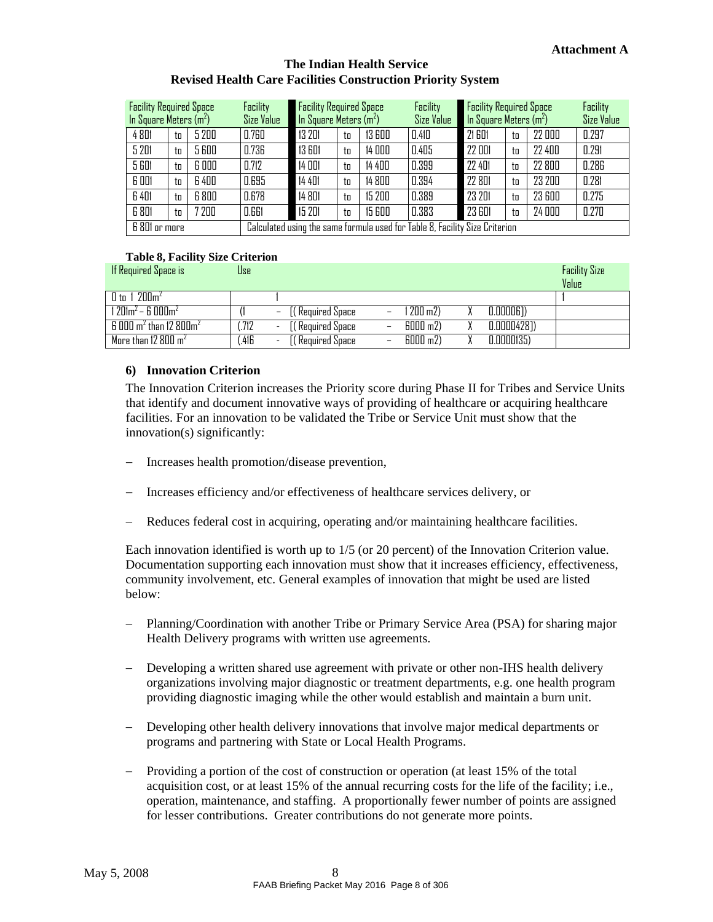| <b>Facility Required Space</b><br>In Square Meters $(m^2)$ |    | Facility<br>Size Value | <b>Facility Required Space</b><br>In Square Meters $(m^2)$ |        |    | Facility<br>Size Value | <b>Facility Required Space</b><br>In Square Meters $(m^2)$                  |        |    | Facility<br><b>Size Value</b> |       |
|------------------------------------------------------------|----|------------------------|------------------------------------------------------------|--------|----|------------------------|-----------------------------------------------------------------------------|--------|----|-------------------------------|-------|
| 4801                                                       | tn | 5 200                  | 0.760                                                      | 13 201 | to | 13 600                 | 0.410                                                                       | 21 601 | to | 22 000                        | 0.297 |
| 5 201                                                      | tп | 5 600                  | 0.736                                                      | 13 601 | to | 14 000                 | 0.405                                                                       | 22 001 | to | 22 400                        | 0.291 |
| 5 601                                                      | to | 6000                   | 0.712                                                      | 14 001 | to | 14 400                 | 0.399                                                                       | 22 401 | to | 22 800                        | 0.286 |
| 6 001                                                      | to | 6 400                  | 0.695                                                      | 14 401 | to | 14 800                 | 0.394                                                                       | 22 801 | to | 23 200                        | 0.281 |
| 6 401                                                      | tn | 6 800                  | 0.678                                                      | 14 801 | to | 15 200                 | 0.389                                                                       | 23 201 | to | 23 600                        | 0.275 |
| 6 801                                                      | to | 7 200                  | 0.661                                                      | 15 201 | to | 15 600                 | 0.383                                                                       | 23 601 | to | 24 000                        | 0.270 |
| 6 801 or more                                              |    |                        |                                                            |        |    |                        | Calculated using the same formula used for Table 8, Facility Size Criterion |        |    |                               |       |

#### **Table 8, Facility Size Criterion**

<span id="page-10-1"></span>

| If Required Space is                            | Use  |                                                    |                          |            |                | <b>Facility Size</b> |
|-------------------------------------------------|------|----------------------------------------------------|--------------------------|------------|----------------|----------------------|
|                                                 |      |                                                    |                          |            |                | Value                |
| $0$ to 1 200 $m2$                               |      |                                                    |                          |            |                |                      |
| l 201m $^2$ – 6 000m $^2$                       |      | ( Required Space<br>-                              | -                        | l 200 m2)  | $0.00006$ )    |                      |
| $6000$ m <sup>2</sup> than 12 800m <sup>2</sup> | .712 | [( Required Space<br>$\overline{\phantom{0}}$      | $\overline{\phantom{0}}$ | 6000 m2)   | $0.0000428$ ]) |                      |
| More than 12 800 $m2$                           | .416 | (( Required Space)<br>$\qquad \qquad \blacksquare$ | -                        | $6000$ m2) | 0.0000135)     |                      |

#### <span id="page-10-0"></span>**6) Innovation Criterion**

The Innovation Criterion increases the Priority score during Phase II for Tribes and Service Units that identify and document innovative ways of providing of healthcare or acquiring healthcare facilities. For an innovation to be validated the Tribe or Service Unit must show that the innovation(s) significantly:

- Increases health promotion/disease prevention,
- Increases efficiency and/or effectiveness of healthcare services delivery, or
- Reduces federal cost in acquiring, operating and/or maintaining healthcare facilities.

Each innovation identified is worth up to 1/5 (or 20 percent) of the Innovation Criterion value. Documentation supporting each innovation must show that it increases efficiency, effectiveness, community involvement, etc. General examples of innovation that might be used are listed below:

- Planning/Coordination with another Tribe or Primary Service Area (PSA) for sharing major Health Delivery programs with written use agreements.
- Developing a written shared use agreement with private or other non-IHS health delivery organizations involving major diagnostic or treatment departments, e.g. one health program providing diagnostic imaging while the other would establish and maintain a burn unit.
- Developing other health delivery innovations that involve major medical departments or programs and partnering with State or Local Health Programs.
- Providing a portion of the cost of construction or operation (at least 15% of the total acquisition cost, or at least 15% of the annual recurring costs for the life of the facility; i.e., operation, maintenance, and staffing. A proportionally fewer number of points are assigned for lesser contributions. Greater contributions do not generate more points.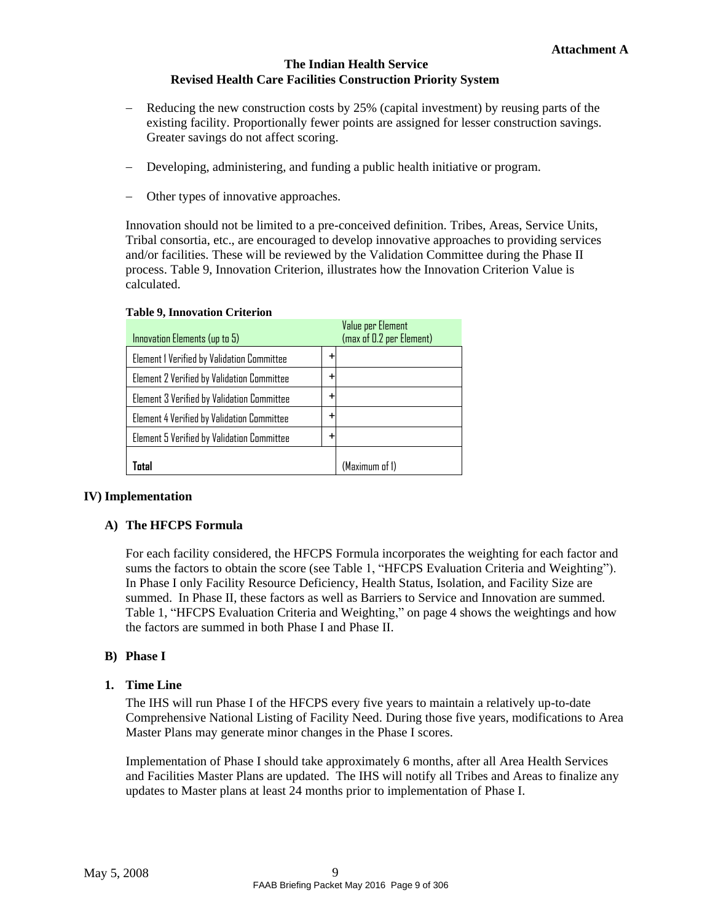- Reducing the new construction costs by 25% (capital investment) by reusing parts of the existing facility. Proportionally fewer points are assigned for lesser construction savings. Greater savings do not affect scoring.
- Developing, administering, and funding a public health initiative or program.
- Other types of innovative approaches.

Innovation should not be limited to a pre-conceived definition. Tribes, Areas, Service Units, Tribal consortia, etc., are encouraged to develop innovative approaches to providing services and/or facilities. These will be reviewed by the Validation Committee during the Phase II process. [Table 9, Innovation Criterion, i](#page-11-3)llustrates how the Innovation Criterion Value is calculated.

<span id="page-11-3"></span>

| Innovation Elements (up to 5)                     |           | Value per Element<br>(max of 0.2 per Element) |
|---------------------------------------------------|-----------|-----------------------------------------------|
| Element I Verified by Validation Committee        | ٠         |                                               |
| <b>Element 2 Verified by Validation Committee</b> | $\ddot{}$ |                                               |
| Element 3 Verified by Validation Committee        | ٠         |                                               |
| Element 4 Verified by Validation Committee        | ٠         |                                               |
| Element 5 Verified by Validation Committee        | +         |                                               |
| Total                                             |           | (Maximum of 1)                                |

#### **Table 9, Innovation Criterion**

### <span id="page-11-1"></span><span id="page-11-0"></span>**IV) Implementation**

#### **A) The HFCPS Formula**

For each facility considered, the HFCPS Formula incorporates the weighting for each factor and sums the factors to obtain the score (see [Table 1](#page-6-2), ["HFCPS Evaluation Criteria and Weighting](#page-6-2)"). In Phase I only Facility Resource Deficiency, Health Status, Isolation, and Facility Size are summed. In Phase II, these factors as well as Barriers to Service and Innovation are summed. [Table](#page-6-2) 1, "HFCPS [Evaluation](#page-6-2) Criteria and Weighting," on page [4](#page-6-2) shows the weightings and how the factors are summed in both Phase I and Phase II.

#### **B) Phase I**

#### <span id="page-11-2"></span>**1. Time Line**

The IHS will run Phase I of the HFCPS every five years to maintain a relatively up-to-date Comprehensive National Listing of Facility Need. During those five years, modifications to Area Master Plans may generate minor changes in the Phase I scores.

Implementation of Phase I should take approximately 6 months, after all Area Health Services and Facilities Master Plans are updated. The IHS will notify all Tribes and Areas to finalize any updates to Master plans at least 24 months prior to implementation of Phase I.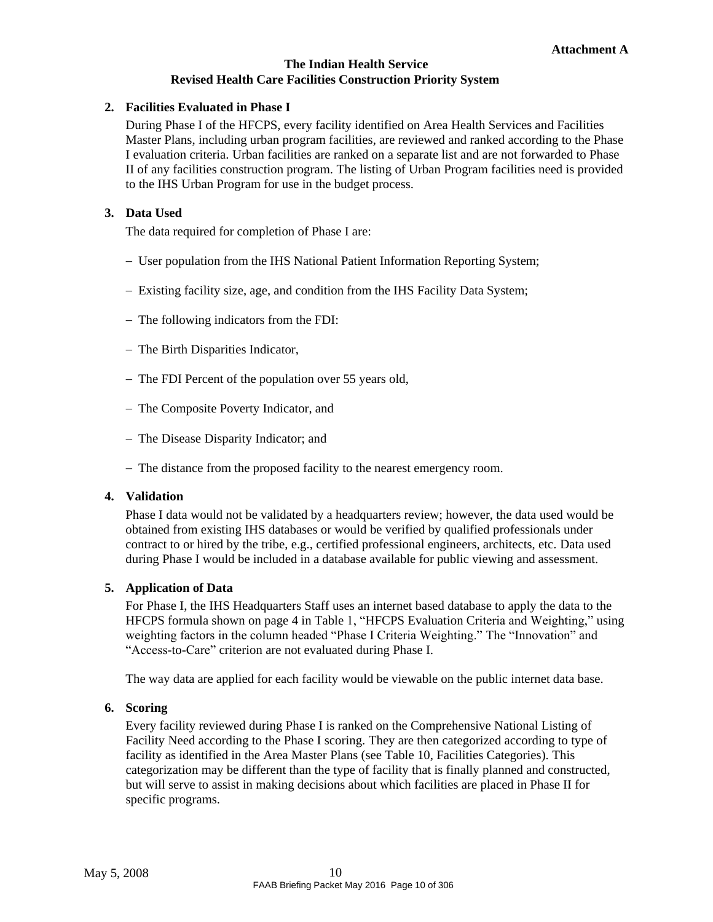#### <span id="page-12-0"></span>**2. Facilities Evaluated in Phase I**

During Phase I of the HFCPS, every facility identified on Area Health Services and Facilities Master Plans, including urban program facilities, are reviewed and ranked according to the Phase I evaluation criteria. Urban facilities are ranked on a separate list and are not forwarded to Phase II of any facilities construction program. The listing of Urban Program facilities need is provided to the IHS Urban Program for use in the budget process.

#### <span id="page-12-1"></span>**3. Data Used**

The data required for completion of Phase I are:

- User population from the IHS National Patient Information Reporting System;
- Existing facility size, age, and condition from the IHS Facility Data System;
- The following indicators from the FDI:
- The Birth Disparities Indicator,
- The FDI Percent of the population over 55 years old,
- The Composite Poverty Indicator, and
- The Disease Disparity Indicator; and
- The distance from the proposed facility to the nearest emergency room.

#### <span id="page-12-2"></span>**4. Validation**

Phase I data would not be validated by a headquarters review; however, the data used would be obtained from existing IHS databases or would be verified by qualified professionals under contract to or hired by the tribe, e.g., certified professional engineers, architects, etc. Data used during Phase I would be included in a database available for public viewing and assessment.

### <span id="page-12-3"></span>**5. Application of Data**

For Phase I, the IHS Headquarters Staff uses an internet based database to apply the data to the HFCPS formula shown on page [4 i](#page-6-2)n [Table 1](#page-6-2), ["HFCPS Evaluation Criteria and Weighting," u](#page-6-2)sing weighting factors in the column headed "Phase I Criteria Weighting." The "Innovation" and "Access-to-Care" criterion are not evaluated during Phase I.

The way data are applied for each facility would be viewable on the public internet data base.

#### <span id="page-12-4"></span>**6. Scoring**

Every facility reviewed during Phase I is ranked on the Comprehensive National Listing of Facility Need according to the Phase I scoring. They are then categorized according to type of facility as identified in the Area Master Plans (see [Table 10, Facilities Categories\).](#page-13-4) This categorization may be different than the type of facility that is finally planned and constructed, but will serve to assist in making decisions about which facilities are placed in Phase II for specific programs.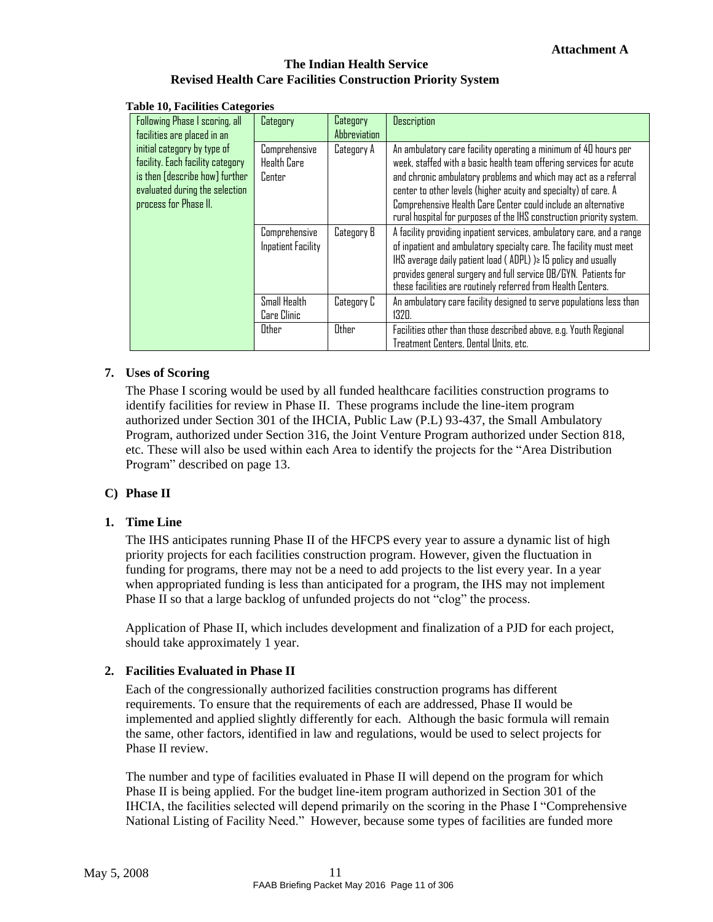<span id="page-13-4"></span>

| able To, Pacificies Categories                                                                                                                                                                                |                             |                                                                                                                                                                                                                                                                                                                                                                                                                      |                                                                                                                                                                                                                                                                                                                                                       |
|---------------------------------------------------------------------------------------------------------------------------------------------------------------------------------------------------------------|-----------------------------|----------------------------------------------------------------------------------------------------------------------------------------------------------------------------------------------------------------------------------------------------------------------------------------------------------------------------------------------------------------------------------------------------------------------|-------------------------------------------------------------------------------------------------------------------------------------------------------------------------------------------------------------------------------------------------------------------------------------------------------------------------------------------------------|
| Following Phase I scoring, all<br>facilities are placed in an                                                                                                                                                 | Category                    | Category<br>Abbreviation                                                                                                                                                                                                                                                                                                                                                                                             | <b>Description</b>                                                                                                                                                                                                                                                                                                                                    |
| initial category by type of<br>Comprehensive<br>facility. Each facility category<br><b>Health Care</b><br>is then [describe how] further<br>Center<br>evaluated during the selection<br>process for Phase II. | Category A                  | An ambulatory care facility operating a minimum of 40 hours per<br>week, staffed with a basic health team offering services for acute<br>and chronic ambulatory problems and which may act as a referral<br>center to other levels (higher acuity and specialty) of care. A<br>Comprehensive Health Care Center could include an alternative<br>rural hospital for purposes of the IHS construction priority system. |                                                                                                                                                                                                                                                                                                                                                       |
| Comprehensive<br>Category B<br><b>Inpatient Facility</b>                                                                                                                                                      |                             |                                                                                                                                                                                                                                                                                                                                                                                                                      | A facility providing inpatient services, ambulatory care, and a range<br>of inpatient and ambulatory specialty care. The facility must meet<br>$H.S$ average daily patient load (ADPL) $\geq 15$ policy and usually<br>provides general surgery and full service OB/GYN. Patients for<br>these facilities are routinely referred from Health Centers. |
|                                                                                                                                                                                                               | Small Health<br>Care Clinic | Category C                                                                                                                                                                                                                                                                                                                                                                                                           | An ambulatory care facility designed to serve populations less than<br>$132\P$                                                                                                                                                                                                                                                                        |
|                                                                                                                                                                                                               | Other                       | Other                                                                                                                                                                                                                                                                                                                                                                                                                | Facilities other than those described above, e.g. Youth Regional<br>Treatment Centers, Dental Units, etc.                                                                                                                                                                                                                                             |

#### **Table 10, Facilities Categories**

#### <span id="page-13-0"></span>**7. Uses of Scoring**

The Phase I scoring would be used by all funded healthcare facilities construction programs to identify facilities for review in Phase II. These programs include the line-item program authorized under Section 301 of the IHCIA, Public Law (P.L) 93-437, the Small Ambulatory Program, authorized under Section 316, the Joint Venture Program authorized under Section 818, etc. These will also be used within each Area to identify the projects for the ["Area Distribution](#page-15-2) [Program"](#page-15-2) described on page [13.](#page-15-2)

### <span id="page-13-1"></span>**C) Phase II**

### <span id="page-13-2"></span>**1. Time Line**

The IHS anticipates running Phase II of the HFCPS every year to assure a dynamic list of high priority projects for each facilities construction program. However, given the fluctuation in funding for programs, there may not be a need to add projects to the list every year. In a year when appropriated funding is less than anticipated for a program, the IHS may not implement Phase II so that a large backlog of unfunded projects do not "clog" the process.

Application of Phase II, which includes development and finalization of a PJD for each project, should take approximately 1 year.

#### <span id="page-13-3"></span>**2. Facilities Evaluated in Phase II**

Each of the congressionally authorized facilities construction programs has different requirements. To ensure that the requirements of each are addressed, Phase II would be implemented and applied slightly differently for each. Although the basic formula will remain the same, other factors, identified in law and regulations, would be used to select projects for Phase II review.

The number and type of facilities evaluated in Phase II will depend on the program for which Phase II is being applied. For the budget line-item program authorized in Section 301 of the IHCIA, the facilities selected will depend primarily on the scoring in the Phase I ["Comprehensive](#page-17-1) [National](#page-17-1) Listing of Facility Need." However, because some types of facilities are funded more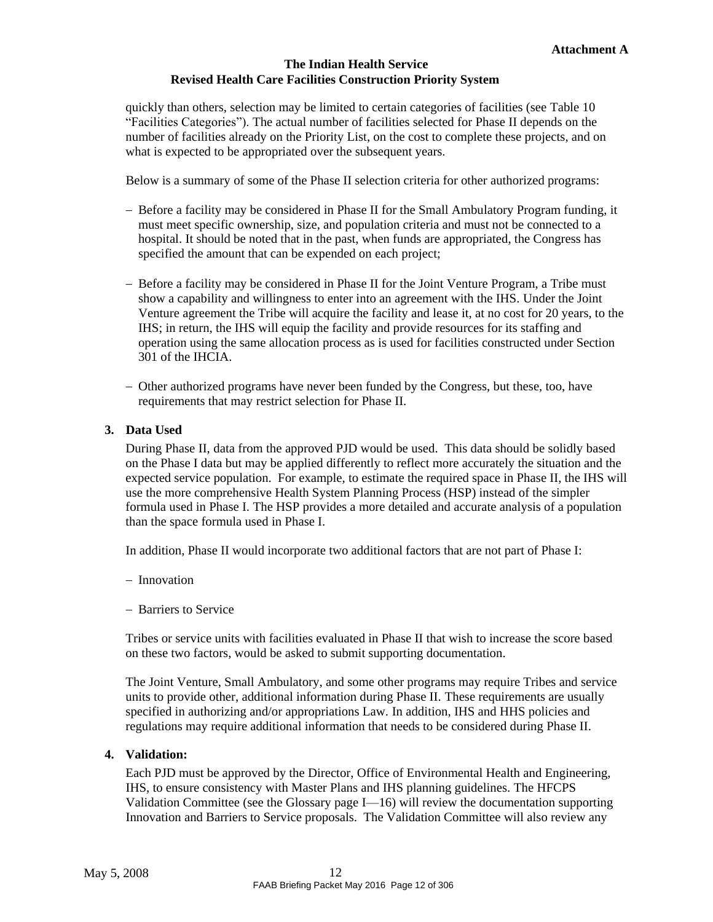quickly than others, selection may be limited to certain categories of facilities (see [Table 10](#page-13-4) ["Facilities Categories"\).](#page-13-4) The actual number of facilities selected for Phase II depends on the number of facilities already on the Priority List, on the cost to complete these projects, and on what is expected to be appropriated over the subsequent years.

Below is a summary of some of the Phase II selection criteria for other authorized programs:

- Before a facility may be considered in Phase II for the Small Ambulatory Program funding, it must meet specific ownership, size, and population criteria and must not be connected to a hospital. It should be noted that in the past, when funds are appropriated, the Congress has specified the amount that can be expended on each project;
- Before a facility may be considered in Phase II for the Joint Venture Program, a Tribe must show a capability and willingness to enter into an agreement with the IHS. Under the Joint Venture agreement the Tribe will acquire the facility and lease it, at no cost for 20 years, to the IHS; in return, the IHS will equip the facility and provide resources for its staffing and operation using the same allocation process as is used for facilities constructed under Section 301 of the IHCIA.
- Other authorized programs have never been funded by the Congress, but these, too, have requirements that may restrict selection for Phase II.

#### <span id="page-14-0"></span>**3. Data Used**

During Phase II, data from the approved PJD would be used. This data should be solidly based on the Phase I data but may be applied differently to reflect more accurately the situation and the expected service population. For example, to estimate the required space in Phase II, the IHS will use the more comprehensive Health System Planning Process (HSP) instead of the simpler formula used in Phase I. The HSP provides a more detailed and accurate analysis of a population than the space formula used in Phase I.

In addition, Phase II would incorporate two additional factors that are not part of Phase I:

- Innovation
- Barriers to Service

Tribes or service units with facilities evaluated in Phase II that wish to increase the score based on these two factors, would be asked to submit supporting documentation.

The Joint Venture, Small Ambulatory, and some other programs may require Tribes and service units to provide other, additional information during Phase II. These requirements are usually specified in authorizing and/or appropriations Law. In addition, IHS and HHS policies and regulations may require additional information that needs to be considered during Phase II.

#### <span id="page-14-1"></span>**4. Validation:**

Each PJD must be approved by the Director, Office of Environmental Health and Engineering, IHS, to ensure consistency with Master Plans and IHS planning guidelines. The HFCPS Validation Committee (see the Glossary page [I—16\) w](#page-18-0)ill review the documentation supporting Innovation and Barriers to Service proposals. The Validation Committee will also review any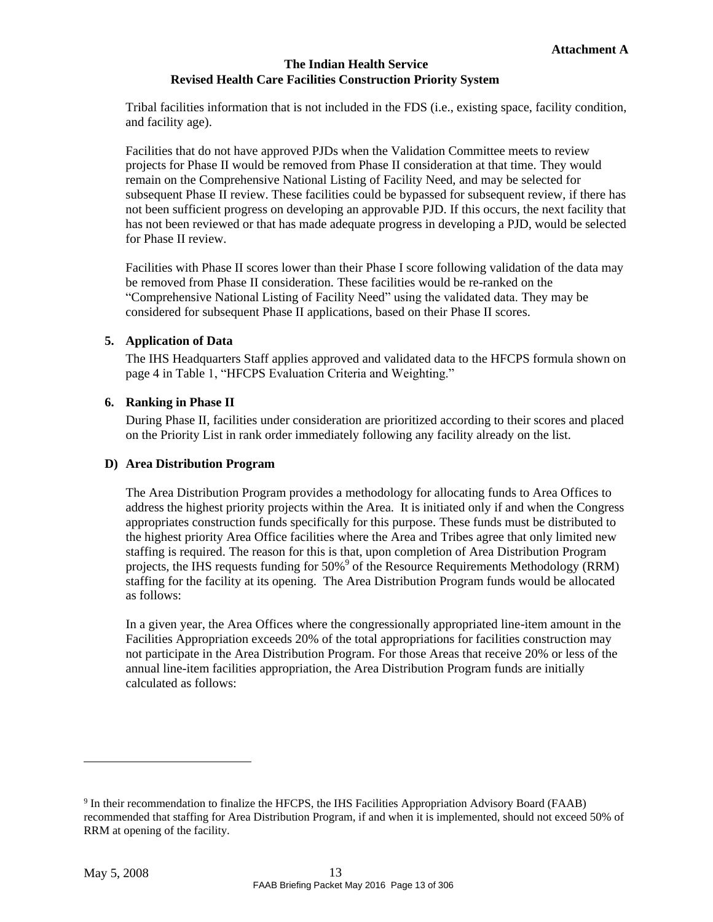Tribal facilities information that is not included in the FDS (i.e., existing space, facility condition, and facility age).

Facilities that do not have approved PJDs when the Validation Committee meets to review projects for Phase II would be removed from Phase II consideration at that time. They would remain on the [Comprehensive National Listing of Facility Need, a](#page-17-1)nd may be selected for subsequent Phase II review. These facilities could be bypassed for subsequent review, if there has not been sufficient progress on developing an approvable PJD. If this occurs, the next facility that has not been reviewed or that has made adequate progress in developing a PJD, would be selected for Phase II review.

Facilities with Phase II scores lower than their Phase I score following validation of the data may be removed from Phase II consideration. These facilities would be re-ranked on the ["Comprehensive National Listing of Facility Need"](#page-17-1) using the validated data. They may be considered for subsequent Phase II applications, based on their Phase II scores.

### <span id="page-15-0"></span>**5. Application of Data**

The IHS Headquarters Staff applies approved and validated data to the HFCPS formula shown on page [4 i](#page-6-2)n [Table 1](#page-6-2), "HFCPS [Evaluation Criteria and Weighting."](#page-6-2)

### <span id="page-15-1"></span>**6. Ranking in Phase II**

During Phase II, facilities under consideration are prioritized according to their scores and placed on the Priority List in rank order immediately following any facility already on the list.

### <span id="page-15-2"></span>**D) Area Distribution Program**

The Area Distribution Program provides a methodology for allocating funds to Area Offices to address the highest priority projects within the Area. It is initiated only if and when the Congress appropriates construction funds specifically for this purpose. These funds must be distributed to the highest priority Area Office facilities where the Area and Tribes agree that only limited new staffing is required. The reason for this is that, upon completion of Area Distribution Program projects, the IHS requests funding for 50[%](#page-15-3)<sup>9</sup> of the Resource Requirements Methodology (RRM) staffing for the facility at its opening. The Area Distribution Program funds would be allocated as follows:

In a given year, the Area Offices where the congressionally appropriated line-item amount in the Facilities Appropriation exceeds 20% of the total appropriations for facilities construction may not participate in the Area Distribution Program. For those Areas that receive 20% or less of the annual line-item facilities appropriation, the Area Distribution Program funds are initially calculated as follows:

<span id="page-15-3"></span><sup>&</sup>lt;sup>9</sup> In their recommendation to finalize the HFCPS, the IHS Facilities Appropriation Advisory Board (FAAB) recommended that staffing for Area Distribution Program, if and when it is implemented, should not exceed 50% of RRM at opening of the facility.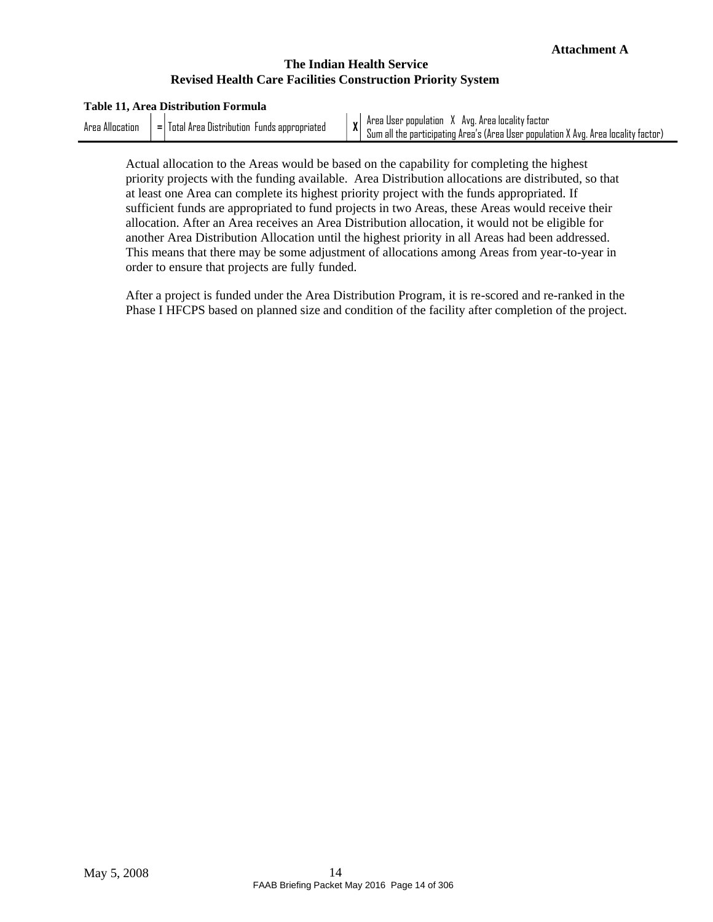#### **Table 11, Area Distribution Formula**

<span id="page-16-0"></span>

| Alle<br>Aros<br>acation | -<br>lota<br>Funds.<br>Uistribution<br>Aros |                                                                                                                                                   | <br>Avn<br>locality<br>Aros<br>Arps<br>User population<br>ractor<br>пп |
|-------------------------|---------------------------------------------|---------------------------------------------------------------------------------------------------------------------------------------------------|------------------------------------------------------------------------|
| appropriated<br>-       | $\mathbf{v}$                                | <br>participating<br>. Area s<br><b>bopulation</b><br>locality<br>. (Area User<br>Aros<br>. Avr<br>۱UIT<br><b>INE</b><br>Tactor<br>. <del>.</del> |                                                                        |

Actual allocation to the Areas would be based on the capability for completing the highest priority projects with the funding available. Area Distribution allocations are distributed, so that at least one Area can complete its highest priority project with the funds appropriated. If sufficient funds are appropriated to fund projects in two Areas, these Areas would receive their allocation. After an Area receives an Area Distribution allocation, it would not be eligible for another Area Distribution Allocation until the highest priority in all Areas had been addressed. This means that there may be some adjustment of allocations among Areas from year-to-year in order to ensure that projects are fully funded.

After a project is funded under the Area Distribution Program, it is re-scored and re-ranked in the Phase I HFCPS based on planned size and condition of the facility after completion of the project.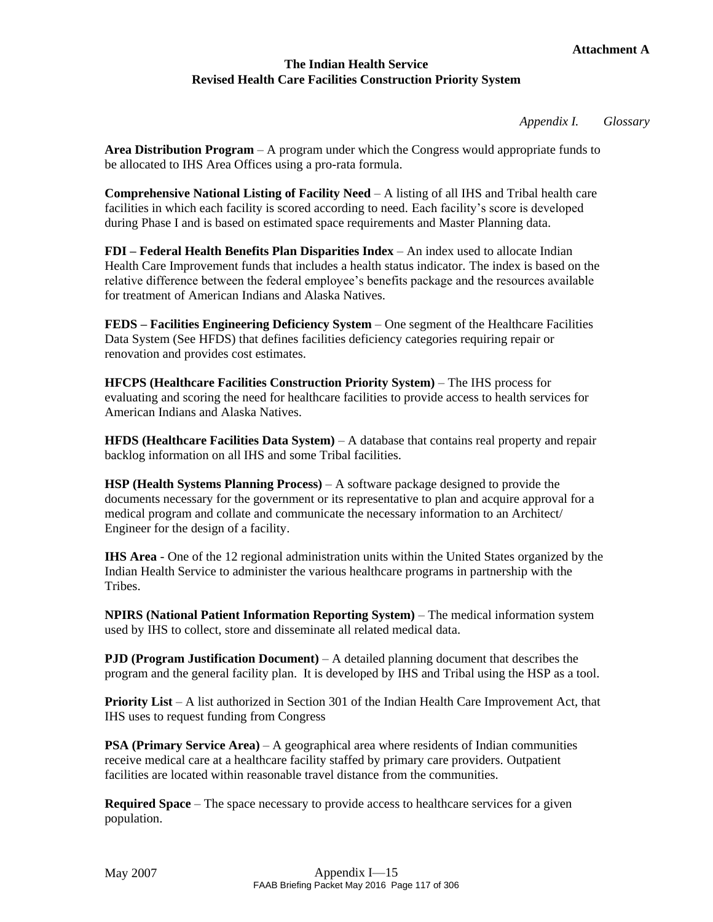*Appendix I. Glossary*

<span id="page-17-0"></span>**Area Distribution Program** – A program under which the Congress would appropriate funds to be allocated to IHS Area Offices using a pro-rata formula.

<span id="page-17-1"></span>**Comprehensive National Listing of Facility Need** – A listing of all IHS and Tribal health care facilities in which each facility is scored according to need. Each facility's score is developed during Phase I and is based on estimated space requirements and Master Planning data.

**FDI – Federal Health Benefits Plan Disparities Index** – An index used to allocate Indian Health Care Improvement funds that includes a health status indicator. The index is based on the relative difference between the federal employee's benefits package and the resources available for treatment of American Indians and Alaska Natives.

**FEDS – Facilities Engineering Deficiency System** – One segment of the Healthcare Facilities Data System (See HFDS) that defines facilities deficiency categories requiring repair or renovation and provides cost estimates.

**HFCPS (Healthcare Facilities Construction Priority System)** – The IHS process for evaluating and scoring the need for healthcare facilities to provide access to health services for American Indians and Alaska Natives.

**HFDS (Healthcare Facilities Data System)** – A database that contains real property and repair backlog information on all IHS and some Tribal facilities.

**HSP (Health Systems Planning Process)** – A software package designed to provide the documents necessary for the government or its representative to plan and acquire approval for a medical program and collate and communicate the necessary information to an Architect/ Engineer for the design of a facility.

**IHS Area** - One of the 12 regional administration units within the United States organized by the Indian Health Service to administer the various healthcare programs in partnership with the **Tribes** 

**NPIRS (National Patient Information Reporting System)** – The medical information system used by IHS to collect, store and disseminate all related medical data.

**PJD (Program Justification Document)** – A detailed planning document that describes the program and the general facility plan. It is developed by IHS and Tribal using the HSP as a tool.

**Priority List** – A list authorized in Section 301 of the Indian Health Care Improvement Act, that IHS uses to request funding from Congress

**PSA (Primary Service Area)** – A geographical area where residents of Indian communities receive medical care at a healthcare facility staffed by primary care providers. Outpatient facilities are located within reasonable travel distance from the communities.

**Required Space** – The space necessary to provide access to healthcare services for a given population.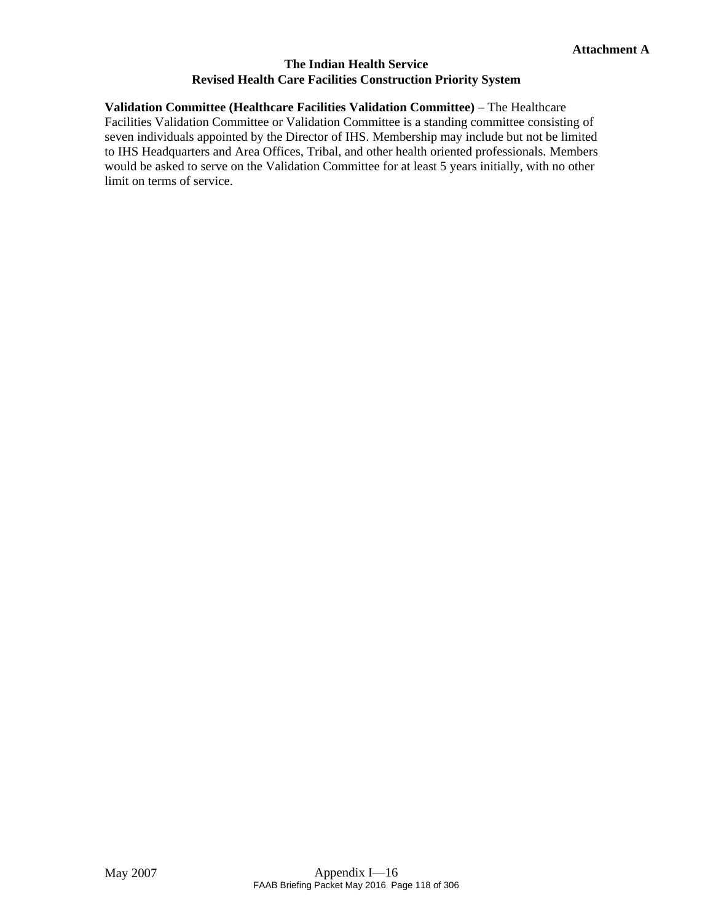# <span id="page-18-0"></span>**Validation Committee (Healthcare Facilities Validation Committee)** – The Healthcare

Facilities Validation Committee or Validation Committee is a standing committee consisting of seven individuals appointed by the Director of IHS. Membership may include but not be limited to IHS Headquarters and Area Offices, Tribal, and other health oriented professionals. Members would be asked to serve on the Validation Committee for at least 5 years initially, with no other limit on terms of service.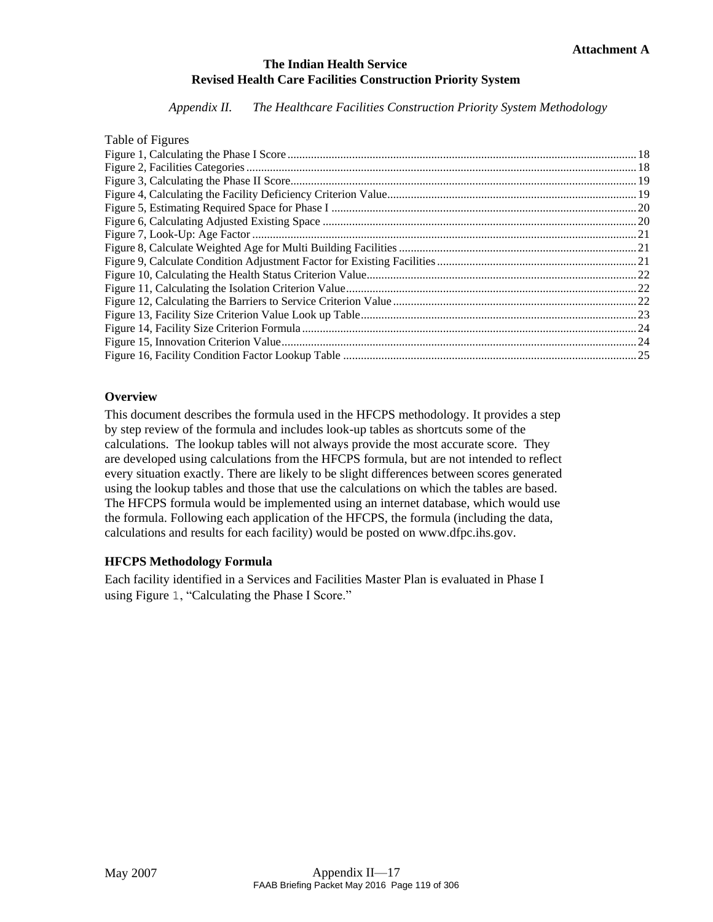*Appendix II. The Healthcare Facilities Construction Priority System Methodology*

| Table of Figures |  |
|------------------|--|
|                  |  |
|                  |  |
|                  |  |
|                  |  |
|                  |  |
|                  |  |
|                  |  |
|                  |  |
|                  |  |
|                  |  |
|                  |  |
|                  |  |
|                  |  |
|                  |  |
|                  |  |
|                  |  |

## **Overview**

This document describes the formula used in the HFCPS methodology. It provides a step by step review of the formula and includes look-up tables as shortcuts some of the calculations. The lookup tables will not always provide the most accurate score. They are developed using calculations from the HFCPS formula, but are not intended to reflect every situation exactly. There are likely to be slight differences between scores generated using the lookup tables and those that use the calculations on which the tables are based. The HFCPS formula would be implemented using an internet database, which would use the formula. Following each application of the HFCPS, the formula (including the data, calculations and results for each facility) would be posted on [www.dfpc.ihs.gov.](http://www.dfpc.ihs.gov/)

## **HFCPS Methodology Formula**

Each facility identified in a Services and Facilities Master Plan is evaluated in Phase I using [Figure](#page-20-0) [1](#page-20-0), ["Calculating the Phase](#page-20-0) I Score."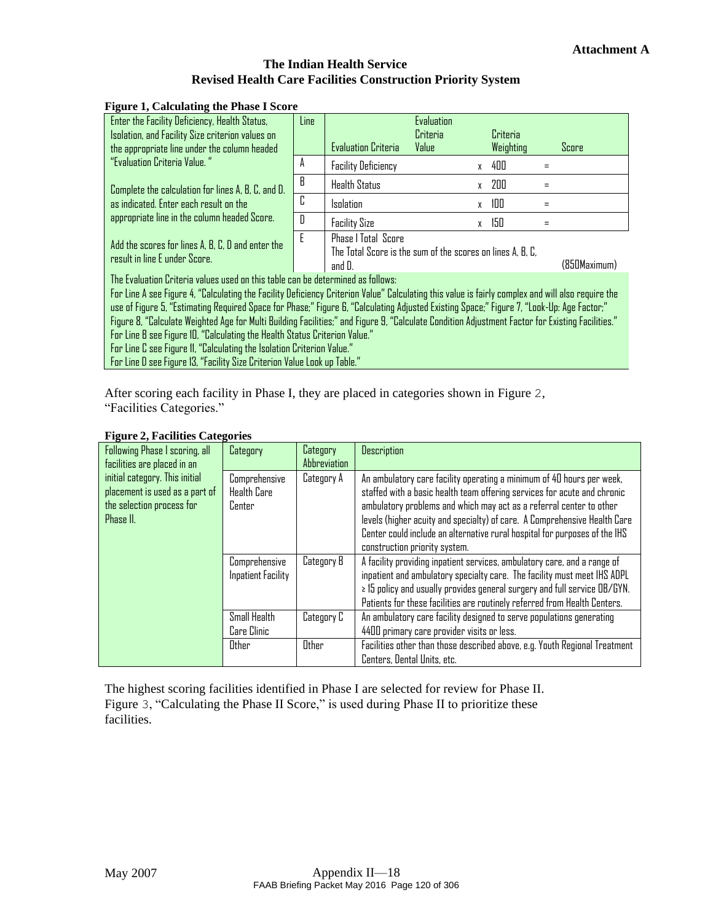### <span id="page-20-0"></span>**Figure 1, Calculating the Phase I Score**

| rance is calculating the Filase Fiscore<br>Enter the Facility Deficiency, Health Status,<br>Isolation, and Facility Size criterion values on<br>the appropriate line under the column headed                                                                                                                                                                                                                                                                                                                                                                                                                                                                                           | Line                                                                                                    | <b>Evaluation Criteria</b> | Evaluation<br>Criteria<br>Value |              | Criteria<br>Weighting |              | Score |
|----------------------------------------------------------------------------------------------------------------------------------------------------------------------------------------------------------------------------------------------------------------------------------------------------------------------------------------------------------------------------------------------------------------------------------------------------------------------------------------------------------------------------------------------------------------------------------------------------------------------------------------------------------------------------------------|---------------------------------------------------------------------------------------------------------|----------------------------|---------------------------------|--------------|-----------------------|--------------|-------|
| "Evaluation Criteria Value."                                                                                                                                                                                                                                                                                                                                                                                                                                                                                                                                                                                                                                                           | A                                                                                                       | <b>Facility Deficiency</b> |                                 | $\mathsf{X}$ | 400                   |              |       |
| Complete the calculation for lines A, B, C, and D.                                                                                                                                                                                                                                                                                                                                                                                                                                                                                                                                                                                                                                     | B                                                                                                       | <b>Health Status</b>       |                                 | X            | 200                   |              |       |
| as indicated. Enter each result on the                                                                                                                                                                                                                                                                                                                                                                                                                                                                                                                                                                                                                                                 | C                                                                                                       | <b>Isolation</b>           |                                 | X            | 100                   |              |       |
| appropriate line in the column headed Score.                                                                                                                                                                                                                                                                                                                                                                                                                                                                                                                                                                                                                                           | D                                                                                                       | <b>Facility Size</b>       |                                 | X            | 150                   |              |       |
| Add the scores for lines A, B, C, D and enter the<br>result in line E under Score.                                                                                                                                                                                                                                                                                                                                                                                                                                                                                                                                                                                                     | F<br><b>Phase   Total Score</b><br>The Total Score is the sum of the scores on lines A, B, C,<br>and D. |                            |                                 |              |                       | (850Maximum) |       |
| The Evaluation Criteria values used on this table can be determined as follows:                                                                                                                                                                                                                                                                                                                                                                                                                                                                                                                                                                                                        |                                                                                                         |                            |                                 |              |                       |              |       |
| For Line A see Figure 4, "Calculating the Facility Deficiency Criterion Value" Calculating this value is fairly complex and will also require the<br>use of Figure 5, "Estimating Required Space for Phase;" Figure 6, "Calculating Adjusted Existing Space;" Figure 7, "Look-Up: Age Factor;"<br>Figure 8, "Calculate Weighted Age for Multi Building Facilities;" and Figure 9, "Calculate Condition Adjustment Factor for Existing Facilities."<br>For Line B see Figure 10, "Calculating the Health Status Criterion Value."<br>For Line C see Figure II, "Calculating the Isolation Criterion Value."<br>For Line D see Figure 13, "Facility Size Criterion Value Look up Table." |                                                                                                         |                            |                                 |              |                       |              |       |

After scoring each facility in Phase I, they are placed in categories shown in [Figure](#page-20-1) [2](#page-20-1), ["Facilities Categories."](#page-20-1)

<span id="page-20-1"></span>

| Following Phase I scoring, all<br>facilities are placed in an                                              | Category                                      | Category<br>Abbreviation | <b>Description</b>                                                                                                                                                                                                                                                                                                                                                                                                   |
|------------------------------------------------------------------------------------------------------------|-----------------------------------------------|--------------------------|----------------------------------------------------------------------------------------------------------------------------------------------------------------------------------------------------------------------------------------------------------------------------------------------------------------------------------------------------------------------------------------------------------------------|
| initial category. This initial<br>placement is used as a part of<br>the selection process for<br>Phase II. | Comprehensive<br><b>Health Care</b><br>Center | Category A               | An ambulatory care facility operating a minimum of 40 hours per week,<br>staffed with a basic health team offering services for acute and chronic<br>ambulatory problems and which may act as a referral center to other<br>levels (higher acuity and specialty) of care. A Comprehensive Health Care<br>Center could include an alternative rural hospital for purposes of the IHS<br>construction priority system. |
|                                                                                                            | Comprehensive<br><b>Inpatient Facility</b>    | Category B               | A facility providing inpatient services, ambulatory care, and a range of<br>inpatient and ambulatory specialty care. The facility must meet IHS ADPL<br>$\ge$ 15 policy and usually provides general surgery and full service OB/GYN.<br>Patients for these facilities are routinely referred from Health Centers.                                                                                                   |
|                                                                                                            | Small Health<br>Care Clinic                   | Category C               | An ambulatory care facility designed to serve populations generating<br>4400 primary care provider visits or less.                                                                                                                                                                                                                                                                                                   |
|                                                                                                            | Other                                         | Other                    | Facilities other than those described above, e.g. Youth Regional Treatment<br>Centers, Dental Units, etc.                                                                                                                                                                                                                                                                                                            |

#### **Figure 2, Facilities Categories**

The highest scoring facilities identified in Phase I are selected for review for Phase II. [Figure](#page-21-0) [3](#page-21-0), ["Calculating the Phase II Score](#page-21-0)," is used during Phase II to prioritize these facilities.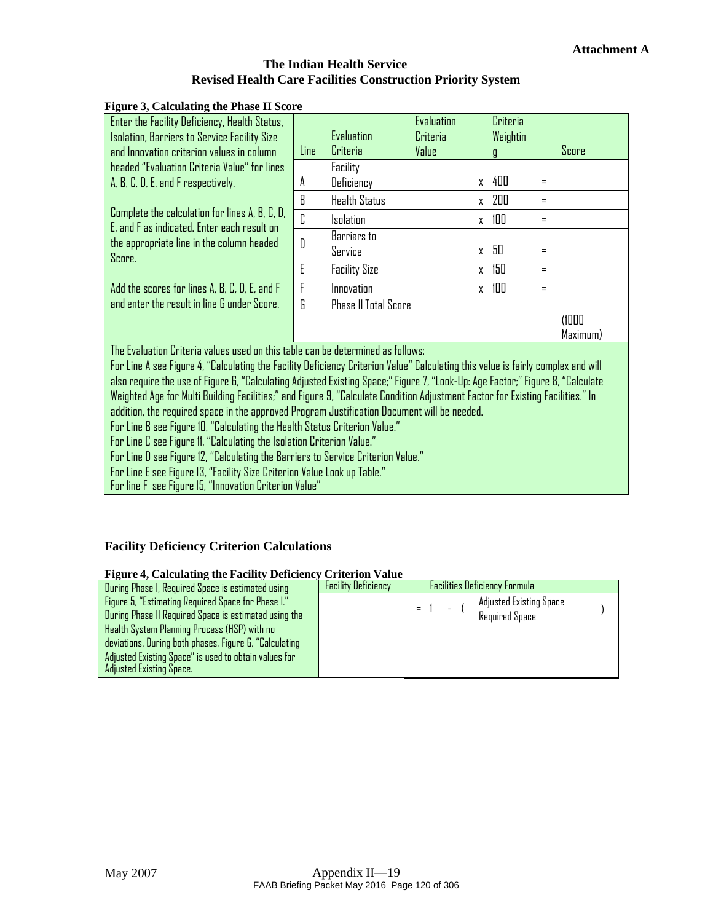<span id="page-21-0"></span>

| rigure 3, Calculating the Phase II Score                                                                                                             |      |                             |                        |                      |                    |  |  |
|------------------------------------------------------------------------------------------------------------------------------------------------------|------|-----------------------------|------------------------|----------------------|--------------------|--|--|
| Enter the Facility Deficiency, Health Status,<br>Isolation, Barriers to Service Facility Size                                                        |      | Evaluation                  | Evaluation<br>Criteria | Criteria<br>Weightin |                    |  |  |
| and Innovation criterion values in column                                                                                                            | Line | Criteria                    | Value                  | q                    | Score              |  |  |
| headed "Evaluation Criteria Value" for lines                                                                                                         |      | Facility                    |                        |                      |                    |  |  |
| A, B, C, D, E, and F respectively.                                                                                                                   | A    | Deficiency                  |                        | x 400                | $=$                |  |  |
|                                                                                                                                                      | B    | <b>Health Status</b>        |                        | x 200                | $=$                |  |  |
| Complete the calculation for lines A, B, C, D,<br>E, and F as indicated. Enter each result on<br>the appropriate line in the column headed<br>Score. | C    | <b>Isolation</b>            | X                      | 100                  | Ξ                  |  |  |
|                                                                                                                                                      | D    | Barriers to                 |                        |                      |                    |  |  |
|                                                                                                                                                      |      | Service                     |                        | x 50                 | $=$                |  |  |
|                                                                                                                                                      | E    | <b>Facility Size</b>        |                        | 150<br>$\mathsf{X}$  | $=$                |  |  |
| Add the scores for lines A, B, C, D, E, and F                                                                                                        | F    | Innovation                  | X                      | 100                  | $=$                |  |  |
| and enter the result in line G under Score.                                                                                                          | G.   | <b>Phase II Total Score</b> |                        |                      |                    |  |  |
|                                                                                                                                                      |      |                             |                        |                      | (1000)<br>Maximum) |  |  |
| The Evaluation Criteria values used on this table can be determined as follows:                                                                      |      |                             |                        |                      |                    |  |  |
| For Line A see Figure 4, "Calculating the Facility Deficiency Criterion Value" Calculating this value is fairly complex and will                     |      |                             |                        |                      |                    |  |  |
| also require the use of Figure 6, "Calculating Adjusted Existing Space;" Figure 7, "Look-Up: Age Factor;" Figure 8, "Calculate                       |      |                             |                        |                      |                    |  |  |
| Weighted Age for Multi Building Facilities;" and Figure 9, "Calculate Condition Adjustment Factor for Existing Facilities." In                       |      |                             |                        |                      |                    |  |  |
| addition, the required space in the approved Program Justification Document will be needed.                                                          |      |                             |                        |                      |                    |  |  |
| For Line B see Figure 10, "Calculating the Health Status Criterion Value."                                                                           |      |                             |                        |                      |                    |  |  |
| For Line C see Figure 11, "Calculating the Isolation Criterion Value."                                                                               |      |                             |                        |                      |                    |  |  |
| For Line D see Figure 12, "Calculating the Barriers to Service Criterion Value."                                                                     |      |                             |                        |                      |                    |  |  |

For Line E see [Figure13,](#page-25-0) "Facility [Size CriterionValue](#page-25-0) Lookup Table."

For line F see[Figure15](#page-26-1), "[Innovation](#page-26-1) CriterionValue"

## **Facility Deficiency Criterion Calculations**

## **Figure 4, Calculating the Facility Deficiency Criterion Value**

<span id="page-21-1"></span>

| Treate a calculating the Facility Deficiency Criterion Value |                            |                                      |  |
|--------------------------------------------------------------|----------------------------|--------------------------------------|--|
| During Phase I, Required Space is estimated using            | <b>Facility Deficiency</b> | <b>Facilities Deficiency Formula</b> |  |
| Figure 5, "Estimating Required Space for Phase I."           |                            | Adjusted Existing Space              |  |
| During Phase II Required Space is estimated using the        |                            | $=$ 1<br><b>Required Space</b>       |  |
| Health System Planning Process (HSP) with no                 |                            |                                      |  |
| deviations. During both phases, Figure 6, "Calculating       |                            |                                      |  |
| Adjusted Existing Space" is used to obtain values for        |                            |                                      |  |
| Adjusted Existing Space.                                     |                            |                                      |  |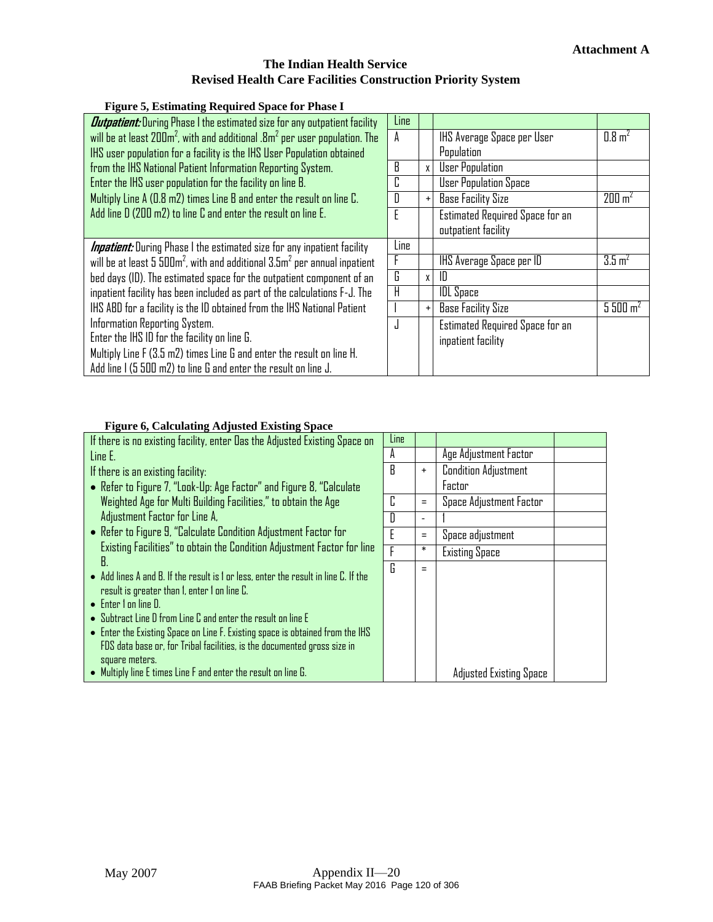#### **Figure 5, Estimating Required Space for Phase I**

<span id="page-22-0"></span>

| <b><i>Outpatient:</i></b> During Phase I the estimated size for any outpatient facility | Line |              |                                        |                     |
|-----------------------------------------------------------------------------------------|------|--------------|----------------------------------------|---------------------|
| will be at least $200m^2$ , with and additional . $8m^2$ per user population. The       | A    |              | IHS Average Space per User             | $0.8 \text{ m}^2$   |
| IHS user population for a facility is the IHS User Population obtained                  |      |              | Population                             |                     |
| from the IHS National Patient Information Reporting System.                             | R    | $\mathsf{X}$ | <b>User Population</b>                 |                     |
| Enter the IHS user population for the facility on line B.                               |      |              | <b>User Population Space</b>           |                     |
| Multiply Line A (0.8 m2) times Line B and enter the result on line C.                   |      | $+$          | <b>Base Facility Size</b>              | 200 m <sup>2</sup>  |
| Add line D (200 m2) to line C and enter the result on line E.                           |      |              | <b>Estimated Required Space for an</b> |                     |
|                                                                                         |      |              | outpatient facility                    |                     |
| <b>Inpatient:</b> During Phase I the estimated size for any inpatient facility          | Line |              |                                        |                     |
| will be at least 5 $500m^2$ , with and additional $3.5m^2$ per annual inpatient         |      |              | IHS Average Space per ID               | $3.5 \, \text{m}^2$ |
| bed days (ID). The estimated space for the outpatient component of an                   | G.   | $\mathsf{X}$ | ID                                     |                     |
| inpatient facility has been included as part of the calculations F-J. The               |      |              | <b>IDL</b> Space                       |                     |
| IHS ABD for a facility is the ID obtained from the IHS National Patient                 |      |              | <b>Base Facility Size</b>              | 5500 m <sup>2</sup> |
| Information Reporting System.                                                           |      |              | <b>Estimated Required Space for an</b> |                     |
| Enter the IHS ID for the facility on line G.                                            |      |              | inpatient facility                     |                     |
| Multiply Line F (3.5 m2) times Line G and enter the result on line H.                   |      |              |                                        |                     |
| Add line I (5 500 m2) to line G and enter the result on line J.                         |      |              |                                        |                     |

#### **Figure 6, Calculating Adjusted Existing Space**

<span id="page-22-1"></span>

| If there is no existing facility, enter Das the Adjusted Existing Space on                                                                                                                                                                                                                                                                                                                                                       | Line |           |                                |  |
|----------------------------------------------------------------------------------------------------------------------------------------------------------------------------------------------------------------------------------------------------------------------------------------------------------------------------------------------------------------------------------------------------------------------------------|------|-----------|--------------------------------|--|
| Line E.                                                                                                                                                                                                                                                                                                                                                                                                                          | А    |           | Age Adjustment Factor          |  |
| If there is an existing facility:                                                                                                                                                                                                                                                                                                                                                                                                | B    | $\ddot{}$ | <b>Condition Adjustment</b>    |  |
| • Refer to Figure 7, "Look-Up: Age Factor" and Figure 8, "Calculate                                                                                                                                                                                                                                                                                                                                                              |      |           | Factor                         |  |
| Weighted Age for Multi Building Facilities," to obtain the Age                                                                                                                                                                                                                                                                                                                                                                   | C    | $=$       | Space Adjustment Factor        |  |
| Adjustment Factor for Line A,                                                                                                                                                                                                                                                                                                                                                                                                    | n    | ٠         |                                |  |
| • Refer to Figure 9, "Calculate Condition Adjustment Factor for                                                                                                                                                                                                                                                                                                                                                                  |      | $=$       | Space adjustment               |  |
| Existing Facilities" to obtain the Condition Adjustment Factor for line                                                                                                                                                                                                                                                                                                                                                          |      | *         | <b>Existing Space</b>          |  |
| В.<br>• Add lines A and B. If the result is 1 or less, enter the result in line C. If the<br>result is greater than 1, enter 1 on line C.<br>$\bullet$ Enter I on line D.<br>$\bullet$ Subtract Line D from Line C and enter the result on line E<br>• Enter the Existing Space on Line F. Existing space is obtained from the IHS<br>FDS data base or, for Tribal facilities, is the documented gross size in<br>square meters. | G    | $=$       |                                |  |
| • Multiply line E times Line F and enter the result on line G.                                                                                                                                                                                                                                                                                                                                                                   |      |           | <b>Adjusted Existing Space</b> |  |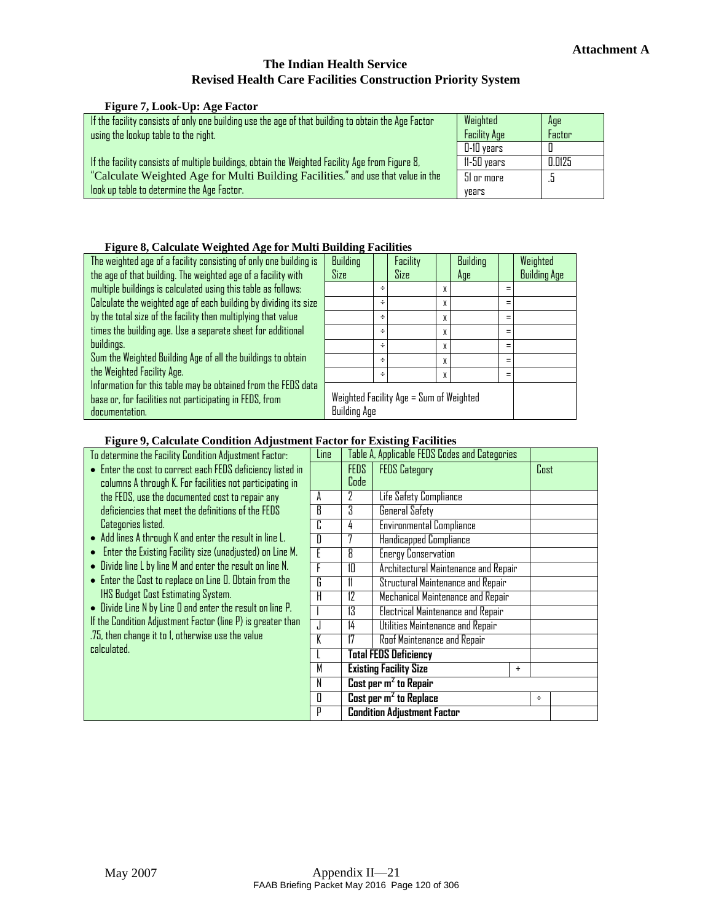|  | <b>Figure 7, Look-Up: Age Factor</b> |
|--|--------------------------------------|
|  |                                      |

<span id="page-23-0"></span>

| If the facility consists of only one building use the age of that building to obtain the Age Factor<br>using the lookup table to the right. | Weighted<br><b>Facility Age</b> | Age<br>Factor |
|---------------------------------------------------------------------------------------------------------------------------------------------|---------------------------------|---------------|
|                                                                                                                                             | $0-10$ years                    |               |
| If the facility consists of multiple buildings, obtain the Weighted Facility Age from Figure 8,                                             | 11-50 years                     | 0.0125        |
| "Calculate Weighted Age for Multi Building Facilities," and use that value in the                                                           | 51 or more                      |               |
| look up table to determine the Age Factor.                                                                                                  | vears                           |               |

#### **Figure 8, Calculate Weighted Age for Multi Building Facilities**

<span id="page-23-1"></span>

| The weighted age of a facility consisting of only one building is | Building                                |   | Facility |   | Building |          | Weighted            |
|-------------------------------------------------------------------|-----------------------------------------|---|----------|---|----------|----------|---------------------|
| the age of that building. The weighted age of a facility with     | Size                                    |   | Size     |   | Age      |          | <b>Building Age</b> |
| multiple buildings is calculated using this table as follows:     |                                         | ÷ |          | X |          | $\equiv$ |                     |
| Calculate the weighted age of each building by dividing its size  |                                         | ÷ |          | X |          | $=$      |                     |
| by the total size of the facility then multiplying that value     |                                         | ÷ |          | X |          | $\equiv$ |                     |
| times the building age. Use a separate sheet for additional       |                                         | ÷ |          | X |          | $=$      |                     |
| buildings.                                                        |                                         | ÷ |          | X |          | $\equiv$ |                     |
| Sum the Weighted Building Age of all the buildings to obtain      |                                         | ÷ |          | X |          | $=$      |                     |
| the Weighted Facility Age.                                        |                                         | ÷ |          | X |          | $=$      |                     |
| Information for this table may be obtained from the FEDS data     |                                         |   |          |   |          |          |                     |
| base or, for facilities not participating in FEDS, from           | Weighted Facility Age = Sum of Weighted |   |          |   |          |          |                     |
| documentation.                                                    | <b>Building Age</b>                     |   |          |   |          |          |                     |

#### **Figure 9, Calculate Condition Adjustment Factor for Existing Facilities**

<span id="page-23-2"></span>

| To determine the Facility Condition Adjustment Factor:                | Line                    |                                         | Table A, Applicable FEDS Codes and Categories |   |             |  |
|-----------------------------------------------------------------------|-------------------------|-----------------------------------------|-----------------------------------------------|---|-------------|--|
| • Enter the cost to correct each FEDS deficiency listed in            |                         | <b>FEDS</b>                             | <b>FEDS Category</b>                          |   | <b>Cost</b> |  |
| columns A through K. For facilities not participating in              |                         | Code                                    |                                               |   |             |  |
| the FEDS, use the documented cost to repair any                       | A                       | 7                                       | Life Safety Compliance                        |   |             |  |
| deficiencies that meet the definitions of the FEDS                    | B                       | 3                                       | General Safety                                |   |             |  |
| Categories listed.                                                    | C                       | 4                                       | <b>Environmental Compliance</b>               |   |             |  |
| Add lines A through K and enter the result in line L.<br>$\bullet$    | D                       | 7                                       | Handicapped Compliance                        |   |             |  |
| Enter the Existing Facility size (unadjusted) on Line M.<br>$\bullet$ | E                       | 8                                       | <b>Energy Conservation</b>                    |   |             |  |
| • Divide line L by line M and enter the result on line N.             | F                       | 10                                      | Architectural Maintenance and Repair          |   |             |  |
| • Enter the Cost to replace on Line O. Obtain from the                | G                       | 11                                      | Structural Maintenance and Repair             |   |             |  |
| IHS Budget Cost Estimating System.                                    | H                       | 12<br>Mechanical Maintenance and Repair |                                               |   |             |  |
| • Divide Line N by Line D and enter the result on line P.             |                         | 13                                      | <b>Electrical Maintenance and Repair</b>      |   |             |  |
| If the Condition Adjustment Factor (line P) is greater than           | J                       | 14                                      | Utilities Maintenance and Repair              |   |             |  |
| .75, then change it to 1, otherwise use the value                     | K                       | 17                                      | Roof Maintenance and Repair                   |   |             |  |
| calculated.                                                           |                         |                                         | <b>Total FEDS Deficiency</b>                  |   |             |  |
|                                                                       | M                       |                                         | <b>Existing Facility Size</b>                 | ÷ |             |  |
|                                                                       | N                       |                                         | Cost per $m2$ to Repair                       |   |             |  |
|                                                                       | $\overline{\mathbb{I}}$ | Cost per $m2$ to Replace                |                                               | ÷ |             |  |
|                                                                       | P                       | <b>Condition Adjustment Factor</b>      |                                               |   |             |  |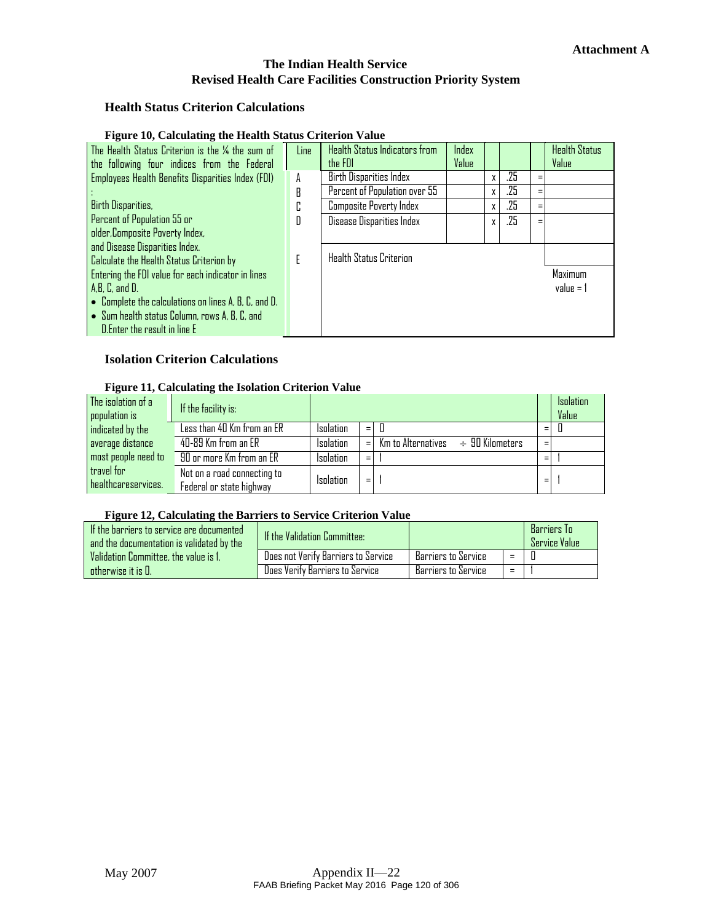#### **Health Status Criterion Calculations**

#### **Figure 10, Calculating the Health Status Criterion Value**

<span id="page-24-0"></span>

| The Health Status Criterion is the 1/4 the sum of<br>the following four indices from the Federal | Line | Health Status Indicators from<br>the FDI | Index<br>Value |   |     |   | <b>Health Status</b><br>Value |
|--------------------------------------------------------------------------------------------------|------|------------------------------------------|----------------|---|-----|---|-------------------------------|
| <b>Employees Health Benefits Disparities Index (FDI)</b>                                         | A    | <b>Birth Disparities Index</b>           |                |   | .25 | = |                               |
|                                                                                                  | R    | Percent of Population over 55            |                | X | .25 | Ξ |                               |
| <b>Birth Disparities,</b>                                                                        | Г.   | <b>Composite Poverty Index</b>           |                | X | .25 | Ξ |                               |
| Percent of Population 55 or                                                                      | Ŋ    | Disease Disparities Index                |                | X | .25 | Ξ |                               |
| older, Composite Poverty Index,                                                                  |      |                                          |                |   |     |   |                               |
| and Disease Disparities Index.                                                                   |      |                                          |                |   |     |   |                               |
| Calculate the Health Status Criterion by                                                         | F    | <b>Health Status Criterion</b>           |                |   |     |   |                               |
| <b>Entering the FDI value for each indicator in lines</b>                                        |      |                                          |                |   |     |   | Maximum                       |
| A, B, C, and D.                                                                                  |      |                                          |                |   |     |   | $value = 1$                   |
| $\bullet$ Complete the calculations on lines A, B, C, and D.                                     |      |                                          |                |   |     |   |                               |
| • Sum health status Column, rows A, B, C, and                                                    |      |                                          |                |   |     |   |                               |
| D. Enter the result in line E                                                                    |      |                                          |                |   |     |   |                               |

### **Isolation Criterion Calculations**

#### **Figure 11, Calculating the Isolation Criterion Value**

<span id="page-24-1"></span>

| The isolation of a<br>population is | If the facility is:                                     |                  |     |                                         |   | <b>Isolation</b><br>Value |
|-------------------------------------|---------------------------------------------------------|------------------|-----|-----------------------------------------|---|---------------------------|
| indicated by the                    | Less than 40 Km from an ER                              | <b>Isolation</b> | $=$ |                                         | Ξ |                           |
| average distance                    | 40-89 Km from an ER                                     | <b>Isolation</b> | $=$ | Km to Alternatives $\div$ 90 Kilometers | Ξ |                           |
| most people need to                 | 90 or more Km from an ER                                | <b>Isolation</b> | $=$ |                                         | Ξ |                           |
| travel for<br>healthcareservices.   | Not on a road connecting to<br>Federal or state highway | <b>Isolation</b> | Ξ   |                                         | Ξ |                           |

#### **Figure 12, Calculating the Barriers to Service Criterion Value**

<span id="page-24-2"></span>

| If the barriers to service are documented<br>and the documentation is validated by the | <b>If the Validation Committee:</b> |                     | Barriers To<br><b>Service Value</b> |  |  |
|----------------------------------------------------------------------------------------|-------------------------------------|---------------------|-------------------------------------|--|--|
| Validation Committee, the value is 1,                                                  | Does not Verify Barriers to Service | Barriers to Service | $=$                                 |  |  |
| ntherwise it is $\Pi$ .                                                                | Does Verify Barriers to Service     | Barriers to Service | $=$                                 |  |  |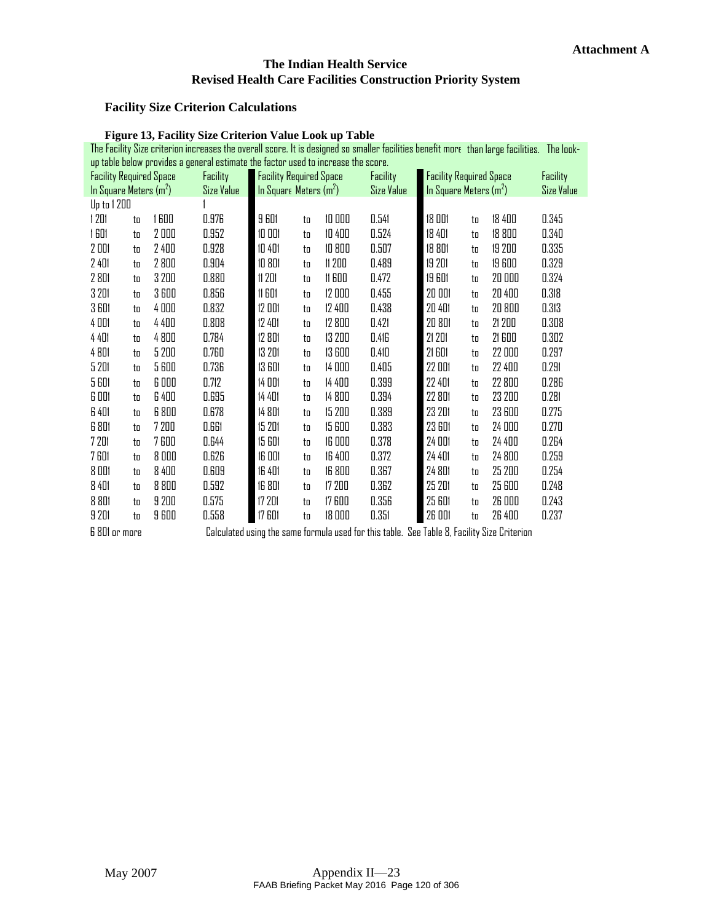# **Facility Size Criterion Calculations**

<span id="page-25-0"></span>

|                                |    |       | <b>Figure 13, Facility Size Criterion Value Look up Table</b>                                                                               |                                |    |               |                                                                                             |                                |    |        |                   |
|--------------------------------|----|-------|---------------------------------------------------------------------------------------------------------------------------------------------|--------------------------------|----|---------------|---------------------------------------------------------------------------------------------|--------------------------------|----|--------|-------------------|
|                                |    |       | The Facility Size criterion increases the overall score. It is designed so smaller facilities benefit more than large facilities. The look- |                                |    |               |                                                                                             |                                |    |        |                   |
|                                |    |       | up table below provides a general estimate the factor used to increase the score.                                                           |                                |    |               |                                                                                             |                                |    |        |                   |
| <b>Facility Required Space</b> |    |       | Facility                                                                                                                                    | <b>Facility Required Space</b> |    |               | Facility                                                                                    | <b>Facility Required Space</b> |    |        | Facility          |
| In Square Meters $(m2)$        |    |       | Size Value                                                                                                                                  | In Square Meters $(m2)$        |    |               | Size Value                                                                                  | In Square Meters $(m2)$        |    |        | <b>Size Value</b> |
| Up to 1 200                    |    |       |                                                                                                                                             |                                |    |               |                                                                                             |                                |    |        |                   |
| 1201                           | to | 1600  | 0.976                                                                                                                                       | <b>9 601</b>                   | to | 10000         | 0.541                                                                                       | 18 001                         | to | 18 400 | 0.345             |
| 1601                           | to | 2000  | 0.952                                                                                                                                       | 10 001                         | to | 10 400        | 0.524                                                                                       | 18 401                         | to | 18 800 | 0.340             |
| 2 DD1                          | to | 2 400 | 0.928                                                                                                                                       | 10 401                         | to | 10 800        | 0.507                                                                                       | 18 801                         | to | 19 200 | 0.335             |
| 2 401                          | to | 2800  | 0.904                                                                                                                                       | 10 801                         | to | 11 200        | 0.489                                                                                       | 19 201                         | to | 19 600 | 0.329             |
| 2 801                          | to | 3 200 | 0.880                                                                                                                                       | 11201                          | to | <b>11 GOO</b> | 0.472                                                                                       | <b>19 601</b>                  | to | 20 000 | 0.324             |
| 3 201                          | to | 3600  | 0.856                                                                                                                                       | <b>11 GD1</b>                  | to | 12 000        | 0.455                                                                                       | 20 001                         | to | 20 400 | 0.318             |
| 3 GD1                          | to | 4000  | 0.832                                                                                                                                       | 12 001                         | to | 12 400        | 0.438                                                                                       | 20 401                         | to | 20 800 | 0.313             |
| 4 DD1                          | to | 4 400 | 0.808                                                                                                                                       | 12 401                         | to | 12 800        | 0.421                                                                                       | 20 801                         | to | 21 200 | 0.308             |
| 4 401                          | to | 4800  | 0.784                                                                                                                                       | 12 801                         | to | 13 200        | 0.416                                                                                       | 21 201                         | to | 21 600 | 0.302             |
| 4 801                          | to | 5 200 | 0.760                                                                                                                                       | 13 201                         | to | 13 600        | 0.410                                                                                       | <b>21 601</b>                  | to | 22 000 | 0.297             |
| 5 201                          | to | 5600  | 0.736                                                                                                                                       | 13 601                         | to | 14 000        | 0.405                                                                                       | 22 OOI                         | to | 22 400 | 0.291             |
| 5 601                          | to | 6 000 | 0.712                                                                                                                                       | 14 OO1                         | to | 14 400        | 0.399                                                                                       | 22 401                         | to | 22 800 | 0.286             |
| 6 001                          | to | 6 400 | 0.695                                                                                                                                       | 14 401                         | to | 14 800        | 0.394                                                                                       | 22 801                         | to | 23 200 | 0.281             |
| <b>G</b> 401                   | to | 6 800 | 0.678                                                                                                                                       | 14 801                         | to | 15 200        | 0.389                                                                                       | 23 201                         | to | 23 600 | 0.275             |
| 6 801                          | to | 7 200 | 0.661                                                                                                                                       | 15 201                         | to | 15 600        | 0.383                                                                                       | <b>23 601</b>                  | to | 24 000 | 0.270             |
| 7201                           | to | 7600  | 0.644                                                                                                                                       | 15 601                         | to | 16 000        | 0.378                                                                                       | 24 001                         | to | 24 400 | 0.264             |
| <b>7 601</b>                   | to | 8000  | 0.626                                                                                                                                       | <b>16 DD1</b>                  | to | 16 400        | 0.372                                                                                       | 24 401                         | to | 24 800 | 0.259             |
| 8 001                          | to | 8 400 | 0.609                                                                                                                                       | <b>16 401</b>                  | to | 16 800        | 0.367                                                                                       | 24 801                         | to | 25 200 | 0.254             |
| 8 401                          | to | 8 800 | 0.592                                                                                                                                       | 16 801                         | to | 17 200        | 0.362                                                                                       | 25 201                         | to | 25 600 | 0.248             |
| 8 801                          | to | 9 200 | 0.575                                                                                                                                       | 17 201                         | to | 17 600        | 0.356                                                                                       | 25 601                         | to | 26 000 | 0.243             |
| 9 201                          | to | 9600  | 0.558                                                                                                                                       | <b>17 601</b>                  | to | 18 000        | 0.351                                                                                       | 26 001                         | to | 26 400 | 0.237             |
| <b>6 801 or more</b>           |    |       |                                                                                                                                             |                                |    |               | Calculated using the same formula used for this table. See Table 8, Facility Size Criterion |                                |    |        |                   |

**Figure 13, Facility Size Criterion Value Look up Table**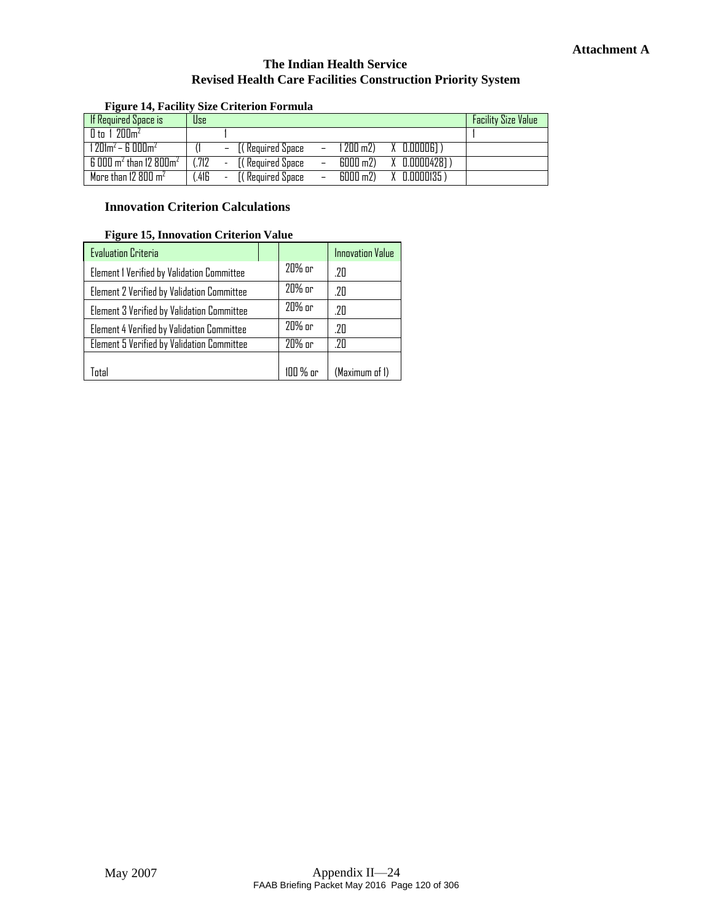<span id="page-26-0"></span>

| rigure 14, racinty size Criterion Formula          |            |        |                                                          |  |                          |                            |
|----------------------------------------------------|------------|--------|----------------------------------------------------------|--|--------------------------|----------------------------|
| <b>If Required Space is</b>                        | <b>Use</b> |        |                                                          |  |                          | <b>Facility Size Value</b> |
| $\prod$ to 1 200 $m^2$                             |            |        |                                                          |  |                          |                            |
| 1 201m $^{2}$ – 6 000m $^{2}$                      |            |        | $-$ [(Required Space $-$ 1 200 m2) $\lambda$ 0.00006])   |  |                          |                            |
| $6000$ m <sup>2</sup> than 12 $800$ m <sup>2</sup> | (.712)     |        | - 〔( Required Space                                      |  | - 6000 m2) X 0.00004281) |                            |
| More than 12 800 $m2$                              | .416       | $\sim$ | $[($ Required Space $-$ 6000 m2) $\lambda$ 0.0000135 $)$ |  |                          |                            |

### **Figure 14, Facility Size Criterion Formula**

### **Innovation Criterion Calculations**

#### **Figure 15, Innovation Criterion Value**

<span id="page-26-1"></span>

| <b>Evaluation Criteria</b>                 |          | <b>Innovation Value</b> |
|--------------------------------------------|----------|-------------------------|
| Element I Verified by Validation Committee | 20% or   | .20                     |
| Element 2 Verified by Validation Committee | 20% or   | .20                     |
| Element 3 Verified by Validation Committee | 20% or   | .20                     |
| Element 4 Verified by Validation Committee | 20% or   | .7N                     |
| Element 5 Verified by Validation Committee | 20% or   | -2Π                     |
|                                            |          |                         |
| ntal)                                      | 100 % or | (Maximum of 1)          |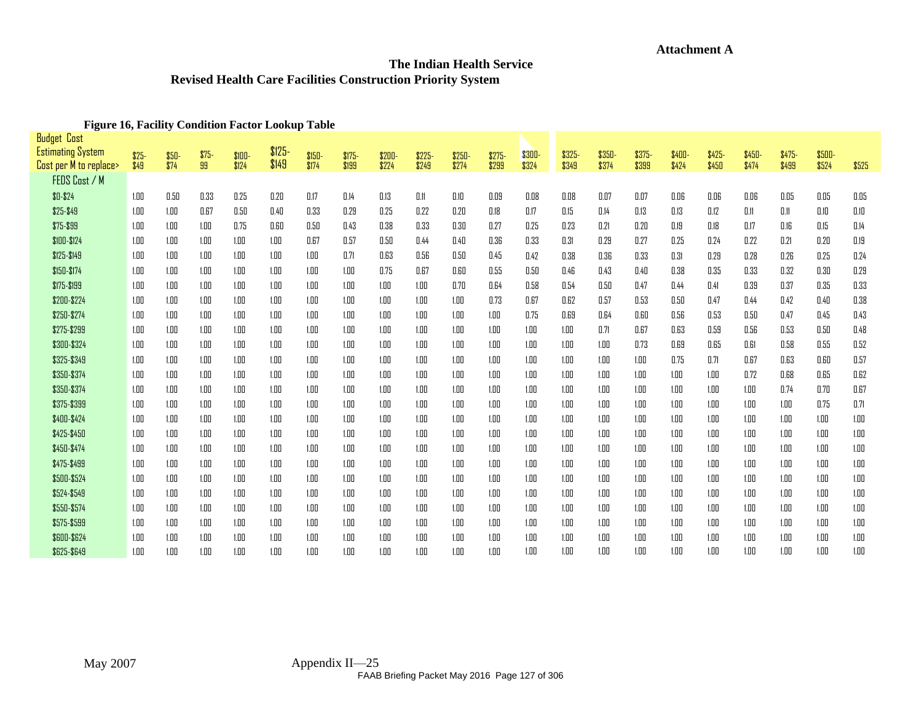# **Attachment A**

## **The Indian Health Service Revised Health Care Facilities Construction Priority System**

#### **Figure 16, Facility Condition Factor Lookup Table**

<span id="page-27-0"></span>

| <b>Budget Cost</b>       |        |        |        |         |          |        |         |        |        |        |         |        |        |        |        |        |        |        |        |               |          |
|--------------------------|--------|--------|--------|---------|----------|--------|---------|--------|--------|--------|---------|--------|--------|--------|--------|--------|--------|--------|--------|---------------|----------|
| <b>Estimating System</b> | $$25-$ | $$50-$ | $$75-$ | $$100-$ | $$125 -$ | \$150- | $$175-$ | \$200- | \$225- | \$250- | $$275-$ | \$300- | \$325- | \$350- | \$375- | \$400- | \$425- | \$450- | \$475- | <b>\$500-</b> |          |
| Cost per M to replace>   | \$49   | \$74   | 99     | \$124   | \$149    | \$174  | \$199   | \$224  | \$249  | \$274  | \$299   | \$324  | \$349  | \$374  | \$399  | \$424  | \$450  | \$474  | \$499  | \$524         | \$525    |
| FEDS Cost / M            |        |        |        |         |          |        |         |        |        |        |         |        |        |        |        |        |        |        |        |               |          |
| $$0 - $24$               | 1.00   | 0.50   | 0.33   | 0.25    | 0.20     | 0.17   | 0.14    | 0.13   | 0.11   | 0.10   | 0.09    | 0.08   | 0.08   | 0.07   | 0.07   | 0.06   | 0.06   | 0.06   | 0.05   | 0.05          | 0.05     |
| \$25-\$49                | 1.00   | 1.00   | 0.67   | 0.50    | 0.40     | 0.33   | 0.29    | 0.25   | 0.22   | 0.20   | 0.18    | 0.17   | 0.15   | 0.14   | 0.13   | 0.13   | 0.12   | 0.11   | 0.11   | 0.10          | 0.10     |
| \$75-\$99                | 1.00   | 1.00   | 1.00   | 0.75    | 0.60     | 0.50   | 0.43    | 0.38   | 0.33   | 0.30   | 0.27    | 0.25   | 0.23   | 0.21   | 0.20   | 0.19   | 0.18   | 0.17   | 0.16   | 0.15          | 0.14     |
| \$100-\$124              | 1.00   | 1.00   | 1.00   | 1.00    | 1.00     | 0.67   | 0.57    | 0.50   | 0.44   | 0.40   | 0.36    | 0.33   | 0.31   | 0.29   | 0.27   | 0.25   | 0.24   | 0.22   | 0.21   | 0.20          | 0.19     |
| \$125-\$149              | 1.00   | 1.00   | 1.00   | 1.00    | 1.00     | 1.00   | 0.71    | 0.63   | 0.56   | 0.50   | 0.45    | 0.42   | 0.38   | 0.36   | 0.33   | 0.31   | 0.29   | 0.28   | 0.26   | 0.25          | 0.24     |
| \$150-\$174              | 1.00   | 1.00   | 1.00   | 1.00    | 1.00     | 1.00   | 1.00    | 0.75   | 0.67   | 0.60   | 0.55    | 0.50   | 0.46   | 0.43   | 0.40   | 0.38   | 0.35   | 0.33   | 0.32   | 0.30          | 0.29     |
| \$175-\$199              | 1.00   | 1.00   | 1.00   | 1.00    | 1.00     | 1.00   | 1.00    | 1.00   | 1.00   | 0.70   | 0.64    | 0.58   | 0.54   | 0.50   | 0.47   | 0.44   | 0.41   | 0.39   | 0.37   | 0.35          | 0.33     |
| \$200-\$224              | 1.00   | 1.00   | 1.00   | 1.00    | 1.00     | 1.00   | 1.00    | 1.00   | 1.00   | 1.00   | 0.73    | 0.67   | 0.62   | 0.57   | 0.53   | 0.50   | 0.47   | 0.44   | 0.42   | 0.40          | 0.38     |
| \$250-\$274              | 1.00   | 1.00   | 1.00   | 1.00    | 1.00     | 1.00   | 1.00    | 1.00   | 1.00   | 1.00   | 1.00    | 0.75   | 0.69   | 0.64   | 0.60   | 0.56   | 0.53   | 0.50   | 0.47   | 0.45          | 0.43     |
| \$275-\$299              | 1.00   | 1.00   | 1.00   | 1.00    | 1.00     | 1.00   | 1.00    | 1.00   | 1.00   | 1.00   | 1.00    | 1.00   | 1.00   | 0.71   | 0.67   | 0.63   | 0.59   | 0.56   | 0.53   | 0.50          | 0.48     |
| \$300-\$324              | 1.00   | 1.00   | 1.00   | 1.00    | 1.00     | 1.00   | 1.00    | 1.00   | 1.00   | 1.00   | 1.00    | 1.00   | 1.00   | 1.00   | 0.73   | 0.69   | 0.65   | 0.61   | 0.58   | 0.55          | 0.52     |
| \$325-\$349              | 1.00   | 1.00   | 1.00   | 1.00    | 1.00     | 1.00   | 1.00    | 1.00   | 1.00   | 1.00   | 1.00    | 1.00   | 1.00   | 1.00   | 1.00   | 0.75   | 0.71   | 0.67   | 0.63   | 0.60          | 0.57     |
| \$350-\$374              | 1.00   | 1.00   | 1.00   | 1.00    | 1.00     | 1.00   | 1.00    | 1.00   | 1.00   | 1.00   | 1.00    | 1.00   | 1.00   | 1.00   | 1.00   | 1.00   | 1.00   | 0.72   | 0.68   | 0.65          | 0.62     |
| \$350-\$374              | 1.00   | 1.00   | 1.00   | 1.00    | 1.00     | 1.00   | 1.00    | 1.00   | 1.00   | 1.00   | 1.00    | 1.00   | 1.00   | 1.00   | 1.00   | 1.00   | 1.00   | 1.00   | 0.74   | 0.70          | 0.67     |
| \$375-\$399              | 1.00   | 1.00   | 1.00   | 1.00    | 1.00     | 1.00   | 1.00    | 1.00   | 1.00   | 1.00   | 1.00    | 1.00   | 1.00   | 1.00   | 1.00   | 1.00   | 1.00   | 1.00   | 1.00   | 0.75          | 0.71     |
| \$400-\$424              | 1.00   | 1.00   | 1.00   | 1.00    | 1.00     | 1.00   | 1.00    | 1.00   | 1.00   | 1.00   | 1.00    | 1.00   | 1.00   | 1.00   | 1.00   | 1.00   | 1.00   | 1.00   | 1.00   | 1.00          | 1.00     |
| \$425-\$450              | 1.00   | 1.00   | 1.00   | 1.00    | 1.00     | 1.00   | 1.00    | 1.00   | 1.00   | 1.00   | 1.00    | 1.00   | 1.00   | 1.00   | 1.00   | 1.00   | 1.00   | 1.00   | 1.00   | 1.00          | 1.00     |
| \$450-\$474              | 1.00   | 1.00   | 1.00   | 1.00    | 1.00     | 1.00   | 1.00    | 1.00   | 1.00   | 1.00   | 1.00    | 1.00   | 1.00   | 1.00   | 1.00   | 1.00   | 1.00   | 1.00   | 1.00   | 1.00          | 1.00     |
| \$475-\$499              | 1.00   | 1.00   | 1.00   | 1.00    | 1.00     | 1.00   | 1.00    | 1.00   | 1.00   | 1.00   | 1.00    | 1.00   | 1.00   | 1.00   | 1.00   | 1.00   | 1.00   | 1.00   | 1.00   | 1.00          | 1.00     |
| \$500-\$524              | 1.00   | 1.00   | 1.00   | 1.00    | 1.00     | 1.00   | 1.00    | 1.00   | 1.00   | 1.00   | 1.00    | 1.00   | 1.00   | 1.00   | 1.00   | 1.00   | 1.00   | 1.00   | 1.00   | 1.00          | 1.00     |
| \$524-\$549              | 1.00   | 1.00   | 1.00   | 1.00    | 1.00     | 1.00   | 1.00    | 1.00   | 1.00   | 1.00   | 1.00    | 1.00   | 1.00   | 1.00   | 1.00   | 1.00   | 1.00   | 1.00   | 1.00   | 1.00          | 1.00     |
| \$550-\$574              | 1.00   | 1.00   | 1.00   | 1.00    | 1.00     | 1.00   | 1.00    | 1.00   | 1.00   | 1.00   | 1.00    | 1.00   | 1.00   | 1.00   | 1.00   | 1.00   | 1.00   | 1.00   | 1.00   | 1.00          | $1.00\,$ |
| \$575-\$599              | 1.00   | 1.00   | 1.00   | 1.00    | 1.00     | 1.00   | 1.00    | 1.00   | 1.00   | 1.00   | 1.00    | 1.00   | 1.00   | 1.00   | 1.00   | 1.00   | 1.00   | 1.00   | 1.00   | 1.00          | 1.00     |
| \$600-\$624              | 1.00   | 1.00   | 1.00   | 1.00    | 1.00     | 1.00   | 1.00    | 1.00   | 1.00   | 1.00   | 1.00    | 1.00   | 1.00   | 1.00   | 1.00   | 1.00   | 1.00   | 1.00   | 1.00   | 1.00          | 1.00     |
| \$625-\$649              | 1.00   | 1.00   | 1.00   | 1.00    | 1.00     | 1.00   | 1.00    | 1.00   | 1.00   | 1.00   | 1.00    | 1.00   | 1.00   | 1.00   | 1.00   | 1.00   | 1.00   | 1.00   | 1.00   | 1.00          | 1.00     |